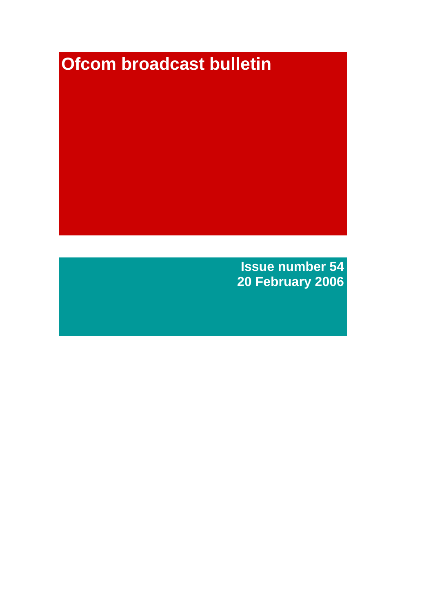# **Ofcom broadcast bulletin**

**Issue number 54 20 February 2006**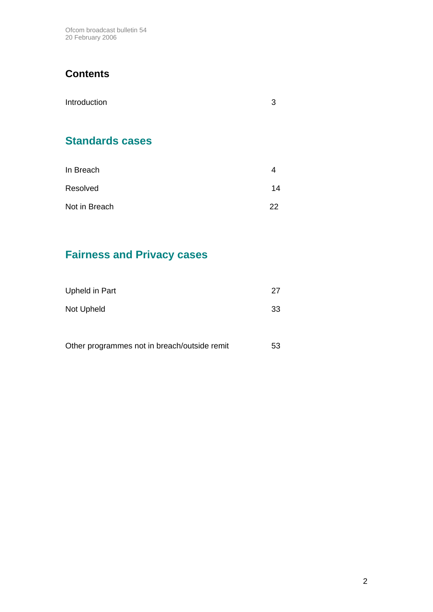Ofcom broadcast bulletin 54 20 February 2006

## **Contents**

| Introduction           | 3  |
|------------------------|----|
| <b>Standards cases</b> |    |
| In Breach              |    |
| Resolved               | 14 |

| Not in Breach | 22 |
|---------------|----|
|               |    |

# **Fairness and Privacy cases**

| Upheld in Part                               | 27 |
|----------------------------------------------|----|
| Not Upheld                                   | 33 |
|                                              |    |
| Other programmes not in breach/outside remit | 53 |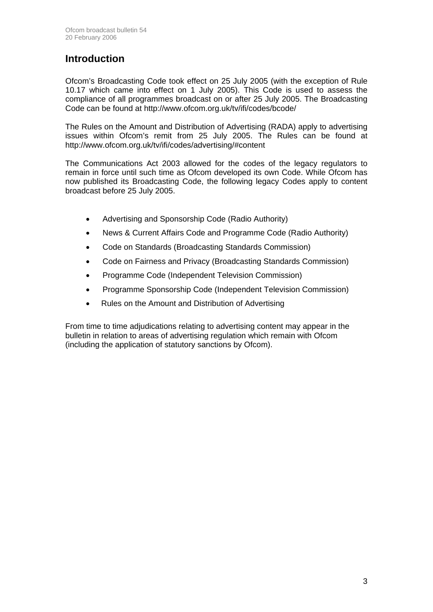## **Introduction**

Ofcom's Broadcasting Code took effect on 25 July 2005 (with the exception of Rule 10.17 which came into effect on 1 July 2005). This Code is used to assess the compliance of all programmes broadcast on or after 25 July 2005. The Broadcasting Code can be found at http://www.ofcom.org.uk/tv/ifi/codes/bcode/

The Rules on the Amount and Distribution of Advertising (RADA) apply to advertising issues within Ofcom's remit from 25 July 2005. The Rules can be found at http://www.ofcom.org.uk/tv/ifi/codes/advertising/#content

The Communications Act 2003 allowed for the codes of the legacy regulators to remain in force until such time as Ofcom developed its own Code. While Ofcom has now published its Broadcasting Code, the following legacy Codes apply to content broadcast before 25 July 2005.

- Advertising and Sponsorship Code (Radio Authority)
- News & Current Affairs Code and Programme Code (Radio Authority)
- Code on Standards (Broadcasting Standards Commission)
- Code on Fairness and Privacy (Broadcasting Standards Commission)
- Programme Code (Independent Television Commission)
- Programme Sponsorship Code (Independent Television Commission)
- Rules on the Amount and Distribution of Advertising

From time to time adjudications relating to advertising content may appear in the bulletin in relation to areas of advertising regulation which remain with Ofcom (including the application of statutory sanctions by Ofcom).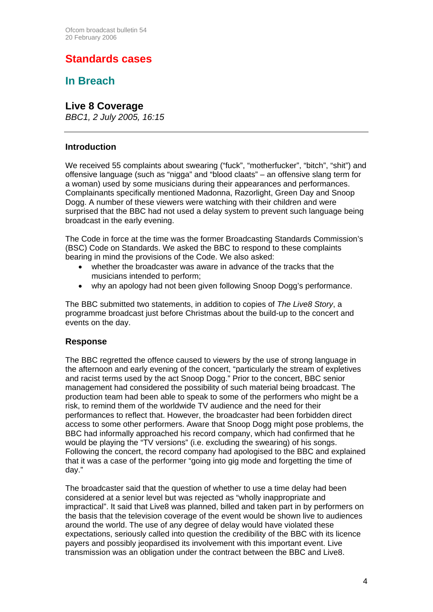## **Standards cases**

## **In Breach**

### **Live 8 Coverage**

*BBC1, 2 July 2005, 16:15*

### **Introduction**

We received 55 complaints about swearing ("fuck", "motherfucker", "bitch", "shit") and offensive language (such as "nigga" and "blood claats" – an offensive slang term for a woman) used by some musicians during their appearances and performances. Complainants specifically mentioned Madonna, Razorlight, Green Day and Snoop Dogg. A number of these viewers were watching with their children and were surprised that the BBC had not used a delay system to prevent such language being broadcast in the early evening.

The Code in force at the time was the former Broadcasting Standards Commission's (BSC) Code on Standards. We asked the BBC to respond to these complaints bearing in mind the provisions of the Code. We also asked:

- whether the broadcaster was aware in advance of the tracks that the musicians intended to perform;
- why an apology had not been given following Snoop Dogg's performance.

The BBC submitted two statements, in addition to copies of *The Live8 Story*, a programme broadcast just before Christmas about the build-up to the concert and events on the day.

### **Response**

The BBC regretted the offence caused to viewers by the use of strong language in the afternoon and early evening of the concert, "particularly the stream of expletives and racist terms used by the act Snoop Dogg." Prior to the concert, BBC senior management had considered the possibility of such material being broadcast. The production team had been able to speak to some of the performers who might be a risk, to remind them of the worldwide TV audience and the need for their performances to reflect that. However, the broadcaster had been forbidden direct access to some other performers. Aware that Snoop Dogg might pose problems, the BBC had informally approached his record company, which had confirmed that he would be playing the "TV versions" (i.e. excluding the swearing) of his songs. Following the concert, the record company had apologised to the BBC and explained that it was a case of the performer "going into gig mode and forgetting the time of day."

The broadcaster said that the question of whether to use a time delay had been considered at a senior level but was rejected as "wholly inappropriate and impractical". It said that Live8 was planned, billed and taken part in by performers on the basis that the television coverage of the event would be shown live to audiences around the world. The use of any degree of delay would have violated these expectations, seriously called into question the credibility of the BBC with its licence payers and possibly jeopardised its involvement with this important event. Live transmission was an obligation under the contract between the BBC and Live8.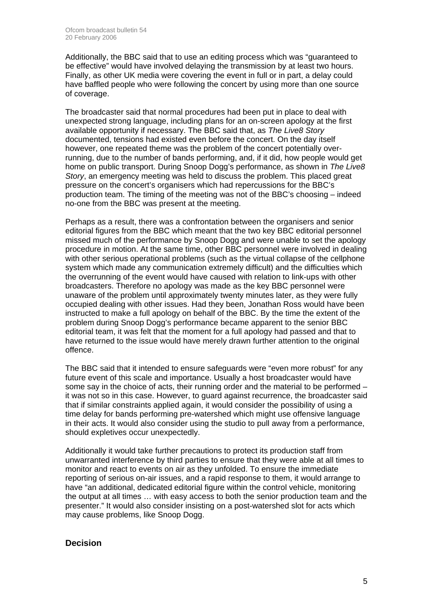Additionally, the BBC said that to use an editing process which was "guaranteed to be effective" would have involved delaying the transmission by at least two hours. Finally, as other UK media were covering the event in full or in part, a delay could have baffled people who were following the concert by using more than one source of coverage.

The broadcaster said that normal procedures had been put in place to deal with unexpected strong language, including plans for an on-screen apology at the first available opportunity if necessary. The BBC said that, as *The Live8 Story* documented, tensions had existed even before the concert. On the day itself however, one repeated theme was the problem of the concert potentially overrunning, due to the number of bands performing, and, if it did, how people would get home on public transport. During Snoop Dogg's performance, as shown in *The Live8 Story*, an emergency meeting was held to discuss the problem. This placed great pressure on the concert's organisers which had repercussions for the BBC's production team. The timing of the meeting was not of the BBC's choosing – indeed no-one from the BBC was present at the meeting.

Perhaps as a result, there was a confrontation between the organisers and senior editorial figures from the BBC which meant that the two key BBC editorial personnel missed much of the performance by Snoop Dogg and were unable to set the apology procedure in motion. At the same time, other BBC personnel were involved in dealing with other serious operational problems (such as the virtual collapse of the cellphone system which made any communication extremely difficult) and the difficulties which the overrunning of the event would have caused with relation to link-ups with other broadcasters. Therefore no apology was made as the key BBC personnel were unaware of the problem until approximately twenty minutes later, as they were fully occupied dealing with other issues. Had they been, Jonathan Ross would have been instructed to make a full apology on behalf of the BBC. By the time the extent of the problem during Snoop Dogg's performance became apparent to the senior BBC editorial team, it was felt that the moment for a full apology had passed and that to have returned to the issue would have merely drawn further attention to the original offence.

The BBC said that it intended to ensure safeguards were "even more robust" for any future event of this scale and importance. Usually a host broadcaster would have some say in the choice of acts, their running order and the material to be performed – it was not so in this case. However, to guard against recurrence, the broadcaster said that if similar constraints applied again, it would consider the possibility of using a time delay for bands performing pre-watershed which might use offensive language in their acts. It would also consider using the studio to pull away from a performance, should expletives occur unexpectedly.

Additionally it would take further precautions to protect its production staff from unwarranted interference by third parties to ensure that they were able at all times to monitor and react to events on air as they unfolded. To ensure the immediate reporting of serious on-air issues, and a rapid response to them, it would arrange to have "an additional, dedicated editorial figure within the control vehicle, monitoring the output at all times … with easy access to both the senior production team and the presenter." It would also consider insisting on a post-watershed slot for acts which may cause problems, like Snoop Dogg.

### **Decision**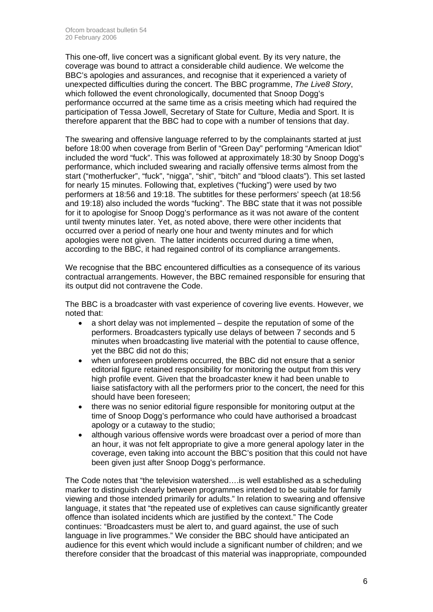This one-off, live concert was a significant global event. By its very nature, the coverage was bound to attract a considerable child audience. We welcome the BBC's apologies and assurances, and recognise that it experienced a variety of unexpected difficulties during the concert. The BBC programme, *The Live8 Story*, which followed the event chronologically, documented that Snoop Dogg's performance occurred at the same time as a crisis meeting which had required the participation of Tessa Jowell, Secretary of State for Culture, Media and Sport. It is therefore apparent that the BBC had to cope with a number of tensions that day.

The swearing and offensive language referred to by the complainants started at just before 18:00 when coverage from Berlin of "Green Day" performing "American Idiot" included the word "fuck". This was followed at approximately 18:30 by Snoop Dogg's performance, which included swearing and racially offensive terms almost from the start ("motherfucker", "fuck", "nigga", "shit", "bitch" and "blood claats"). This set lasted for nearly 15 minutes. Following that, expletives ("fucking") were used by two performers at 18:56 and 19:18. The subtitles for these performers' speech (at 18:56 and 19:18) also included the words "fucking". The BBC state that it was not possible for it to apologise for Snoop Dogg's performance as it was not aware of the content until twenty minutes later. Yet, as noted above, there were other incidents that occurred over a period of nearly one hour and twenty minutes and for which apologies were not given. The latter incidents occurred during a time when, according to the BBC, it had regained control of its compliance arrangements.

We recognise that the BBC encountered difficulties as a consequence of its various contractual arrangements. However, the BBC remained responsible for ensuring that its output did not contravene the Code.

The BBC is a broadcaster with vast experience of covering live events. However, we noted that:

- a short delay was not implemented despite the reputation of some of the performers. Broadcasters typically use delays of between 7 seconds and 5 minutes when broadcasting live material with the potential to cause offence, yet the BBC did not do this;
- when unforeseen problems occurred, the BBC did not ensure that a senior editorial figure retained responsibility for monitoring the output from this very high profile event. Given that the broadcaster knew it had been unable to liaise satisfactory with all the performers prior to the concert, the need for this should have been foreseen;
- there was no senior editorial figure responsible for monitoring output at the time of Snoop Dogg's performance who could have authorised a broadcast apology or a cutaway to the studio;
- although various offensive words were broadcast over a period of more than an hour, it was not felt appropriate to give a more general apology later in the coverage, even taking into account the BBC's position that this could not have been given just after Snoop Dogg's performance.

The Code notes that "the television watershed….is well established as a scheduling marker to distinguish clearly between programmes intended to be suitable for family viewing and those intended primarily for adults." In relation to swearing and offensive language, it states that "the repeated use of expletives can cause significantly greater offence than isolated incidents which are justified by the context." The Code continues: "Broadcasters must be alert to, and guard against, the use of such language in live programmes." We consider the BBC should have anticipated an audience for this event which would include a significant number of children; and we therefore consider that the broadcast of this material was inappropriate, compounded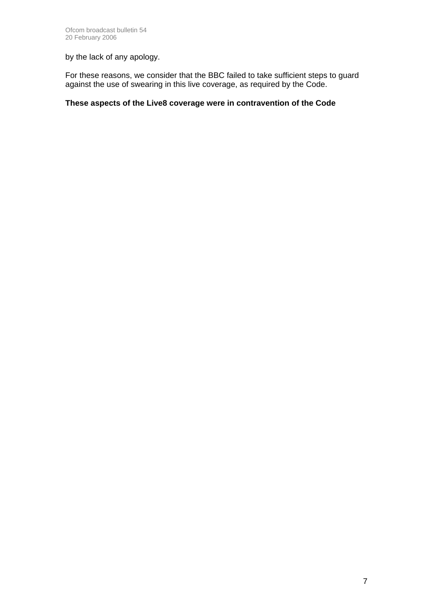by the lack of any apology.

For these reasons, we consider that the BBC failed to take sufficient steps to guard against the use of swearing in this live coverage, as required by the Code.

### **These aspects of the Live8 coverage were in contravention of the Code**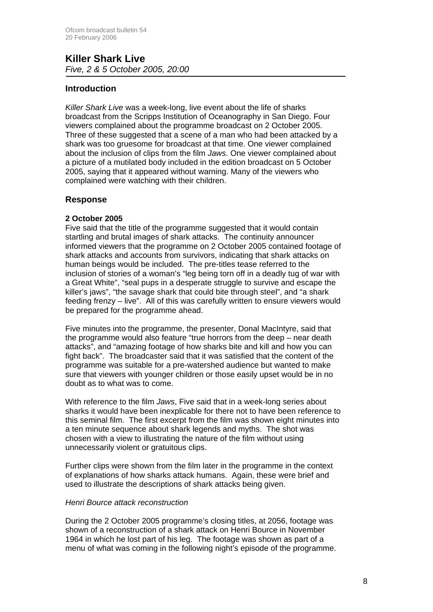### **Killer Shark Live**  *Five, 2 & 5 October 2005, 20:00*

### **Introduction**

*Killer Shark Live* was a week-long, live event about the life of sharks broadcast from the Scripps Institution of Oceanography in San Diego. Four viewers complained about the programme broadcast on 2 October 2005. Three of these suggested that a scene of a man who had been attacked by a shark was too gruesome for broadcast at that time. One viewer complained about the inclusion of clips from the film *Jaws*. One viewer complained about a picture of a mutilated body included in the edition broadcast on 5 October 2005, saying that it appeared without warning. Many of the viewers who complained were watching with their children.

### **Response**

### **2 October 2005**

Five said that the title of the programme suggested that it would contain startling and brutal images of shark attacks. The continuity announcer informed viewers that the programme on 2 October 2005 contained footage of shark attacks and accounts from survivors, indicating that shark attacks on human beings would be included. The pre-titles tease referred to the inclusion of stories of a woman's "leg being torn off in a deadly tug of war with a Great White", "seal pups in a desperate struggle to survive and escape the killer's jaws", "the savage shark that could bite through steel", and "a shark feeding frenzy – live". All of this was carefully written to ensure viewers would be prepared for the programme ahead.

Five minutes into the programme, the presenter, Donal MacIntyre, said that the programme would also feature "true horrors from the deep – near death attacks", and "amazing footage of how sharks bite and kill and how you can fight back". The broadcaster said that it was satisfied that the content of the programme was suitable for a pre-watershed audience but wanted to make sure that viewers with younger children or those easily upset would be in no doubt as to what was to come.

With reference to the film *Jaws*, Five said that in a week-long series about sharks it would have been inexplicable for there not to have been reference to this seminal film. The first excerpt from the film was shown eight minutes into a ten minute sequence about shark legends and myths. The shot was chosen with a view to illustrating the nature of the film without using unnecessarily violent or gratuitous clips.

Further clips were shown from the film later in the programme in the context of explanations of how sharks attack humans. Again, these were brief and used to illustrate the descriptions of shark attacks being given.

### *Henri Bource attack reconstruction*

During the 2 October 2005 programme's closing titles, at 2056, footage was shown of a reconstruction of a shark attack on Henri Bource in November 1964 in which he lost part of his leg. The footage was shown as part of a menu of what was coming in the following night's episode of the programme.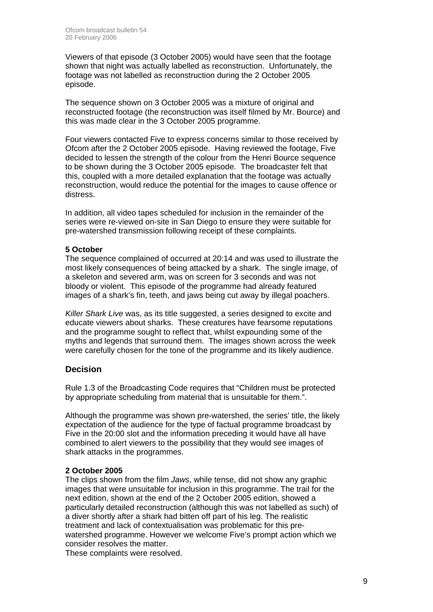Viewers of that episode (3 October 2005) would have seen that the footage shown that night was actually labelled as reconstruction. Unfortunately, the footage was not labelled as reconstruction during the 2 October 2005 episode.

The sequence shown on 3 October 2005 was a mixture of original and reconstructed footage (the reconstruction was itself filmed by Mr. Bource) and this was made clear in the 3 October 2005 programme.

Four viewers contacted Five to express concerns similar to those received by Ofcom after the 2 October 2005 episode. Having reviewed the footage, Five decided to lessen the strength of the colour from the Henri Bource sequence to be shown during the 3 October 2005 episode. The broadcaster felt that this, coupled with a more detailed explanation that the footage was actually reconstruction, would reduce the potential for the images to cause offence or distress.

In addition, all video tapes scheduled for inclusion in the remainder of the series were re-viewed on-site in San Diego to ensure they were suitable for pre-watershed transmission following receipt of these complaints.

### **5 October**

The sequence complained of occurred at 20:14 and was used to illustrate the most likely consequences of being attacked by a shark. The single image, of a skeleton and severed arm, was on screen for 3 seconds and was not bloody or violent. This episode of the programme had already featured images of a shark's fin, teeth, and jaws being cut away by illegal poachers.

*Killer Shark Live* was, as its title suggested, a series designed to excite and educate viewers about sharks. These creatures have fearsome reputations and the programme sought to reflect that, whilst expounding some of the myths and legends that surround them. The images shown across the week were carefully chosen for the tone of the programme and its likely audience.

### **Decision**

Rule 1.3 of the Broadcasting Code requires that "Children must be protected by appropriate scheduling from material that is unsuitable for them.".

Although the programme was shown pre-watershed, the series' title, the likely expectation of the audience for the type of factual programme broadcast by Five in the 20:00 slot and the information preceding it would have all have combined to alert viewers to the possibility that they would see images of shark attacks in the programmes.

### **2 October 2005**

The clips shown from the film *Jaws*, while tense, did not show any graphic images that were unsuitable for inclusion in this programme. The trail for the next edition, shown at the end of the 2 October 2005 edition, showed a particularly detailed reconstruction (although this was not labelled as such) of a diver shortly after a shark had bitten off part of his leg. The realistic treatment and lack of contextualisation was problematic for this prewatershed programme. However we welcome Five's prompt action which we consider resolves the matter.

These complaints were resolved.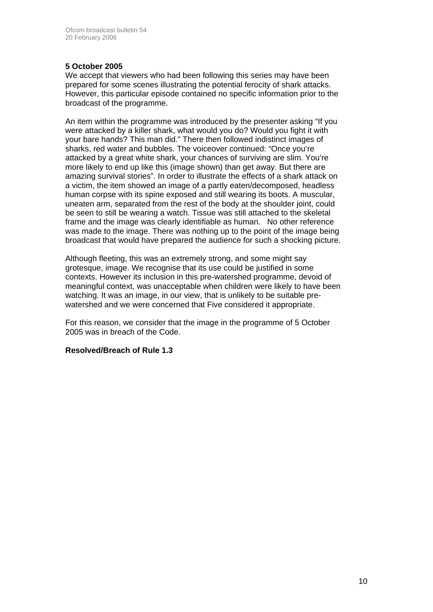### **5 October 2005**

We accept that viewers who had been following this series may have been prepared for some scenes illustrating the potential ferocity of shark attacks. However, this particular episode contained no specific information prior to the broadcast of the programme.

An item within the programme was introduced by the presenter asking "If you were attacked by a killer shark, what would you do? Would you fight it with your bare hands? This man did." There then followed indistinct images of sharks, red water and bubbles. The voiceover continued: "Once you're attacked by a great white shark, your chances of surviving are slim. You're more likely to end up like this (image shown) than get away. But there are amazing survival stories". In order to illustrate the effects of a shark attack on a victim, the item showed an image of a partly eaten/decomposed, headless human corpse with its spine exposed and still wearing its boots. A muscular, uneaten arm, separated from the rest of the body at the shoulder joint, could be seen to still be wearing a watch. Tissue was still attached to the skeletal frame and the image was clearly identifiable as human. No other reference was made to the image. There was nothing up to the point of the image being broadcast that would have prepared the audience for such a shocking picture.

Although fleeting, this was an extremely strong, and some might say grotesque, image. We recognise that its use could be justified in some contexts. However its inclusion in this pre-watershed programme, devoid of meaningful context, was unacceptable when children were likely to have been watching. It was an image, in our view, that is unlikely to be suitable prewatershed and we were concerned that Five considered it appropriate.

For this reason, we consider that the image in the programme of 5 October 2005 was in breach of the Code.

### **Resolved/Breach of Rule 1.3**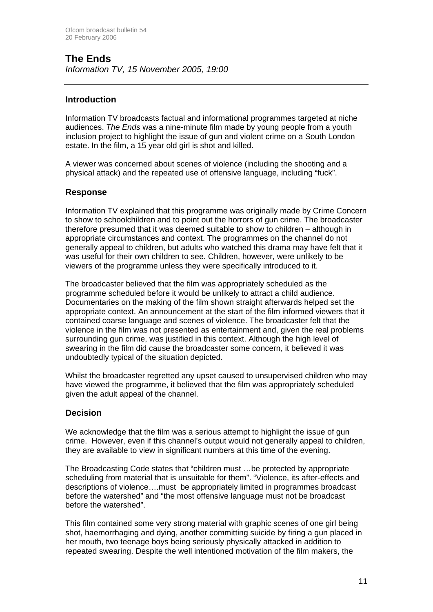# **The Ends**

*Information TV, 15 November 2005, 19:00*

### **Introduction**

Information TV broadcasts factual and informational programmes targeted at niche audiences. *The Ends* was a nine-minute film made by young people from a youth inclusion project to highlight the issue of gun and violent crime on a South London estate. In the film, a 15 year old girl is shot and killed.

A viewer was concerned about scenes of violence (including the shooting and a physical attack) and the repeated use of offensive language, including "fuck".

### **Response**

Information TV explained that this programme was originally made by Crime Concern to show to schoolchildren and to point out the horrors of gun crime. The broadcaster therefore presumed that it was deemed suitable to show to children – although in appropriate circumstances and context. The programmes on the channel do not generally appeal to children, but adults who watched this drama may have felt that it was useful for their own children to see. Children, however, were unlikely to be viewers of the programme unless they were specifically introduced to it.

The broadcaster believed that the film was appropriately scheduled as the programme scheduled before it would be unlikely to attract a child audience. Documentaries on the making of the film shown straight afterwards helped set the appropriate context. An announcement at the start of the film informed viewers that it contained coarse language and scenes of violence. The broadcaster felt that the violence in the film was not presented as entertainment and, given the real problems surrounding gun crime, was justified in this context. Although the high level of swearing in the film did cause the broadcaster some concern, it believed it was undoubtedly typical of the situation depicted.

Whilst the broadcaster regretted any upset caused to unsupervised children who may have viewed the programme, it believed that the film was appropriately scheduled given the adult appeal of the channel.

### **Decision**

We acknowledge that the film was a serious attempt to highlight the issue of gun crime. However, even if this channel's output would not generally appeal to children, they are available to view in significant numbers at this time of the evening.

The Broadcasting Code states that "children must …be protected by appropriate scheduling from material that is unsuitable for them". "Violence, its after-effects and descriptions of violence….must be appropriately limited in programmes broadcast before the watershed" and "the most offensive language must not be broadcast before the watershed".

This film contained some very strong material with graphic scenes of one girl being shot, haemorrhaging and dying, another committing suicide by firing a gun placed in her mouth, two teenage boys being seriously physically attacked in addition to repeated swearing. Despite the well intentioned motivation of the film makers, the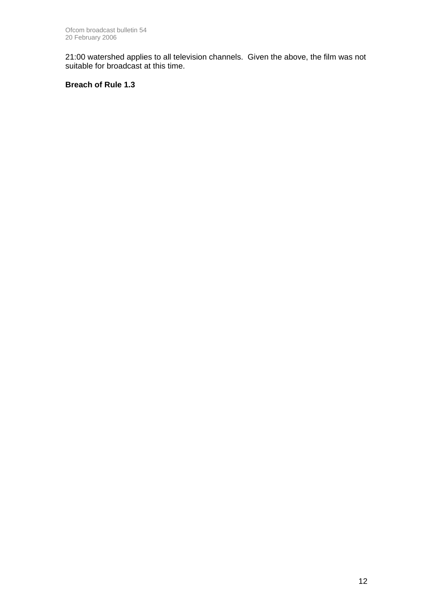21:00 watershed applies to all television channels. Given the above, the film was not suitable for broadcast at this time.

**Breach of Rule 1.3**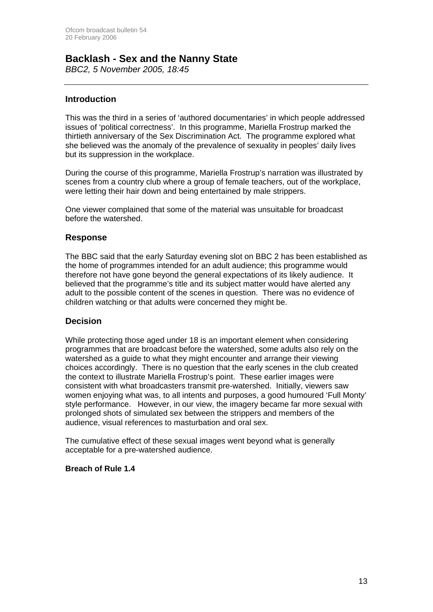## **Backlash - Sex and the Nanny State**

*BBC2, 5 November 2005, 18:45*

### **Introduction**

This was the third in a series of 'authored documentaries' in which people addressed issues of 'political correctness'. In this programme, Mariella Frostrup marked the thirtieth anniversary of the Sex Discrimination Act. The programme explored what she believed was the anomaly of the prevalence of sexuality in peoples' daily lives but its suppression in the workplace.

During the course of this programme, Mariella Frostrup's narration was illustrated by scenes from a country club where a group of female teachers, out of the workplace, were letting their hair down and being entertained by male strippers.

One viewer complained that some of the material was unsuitable for broadcast before the watershed.

### **Response**

The BBC said that the early Saturday evening slot on BBC 2 has been established as the home of programmes intended for an adult audience; this programme would therefore not have gone beyond the general expectations of its likely audience. It believed that the programme's title and its subject matter would have alerted any adult to the possible content of the scenes in question. There was no evidence of children watching or that adults were concerned they might be.

### **Decision**

While protecting those aged under 18 is an important element when considering programmes that are broadcast before the watershed, some adults also rely on the watershed as a guide to what they might encounter and arrange their viewing choices accordingly. There is no question that the early scenes in the club created the context to illustrate Mariella Frostrup's point. These earlier images were consistent with what broadcasters transmit pre-watershed. Initially, viewers saw women enjoying what was, to all intents and purposes, a good humoured 'Full Monty' style performance. However, in our view, the imagery became far more sexual with prolonged shots of simulated sex between the strippers and members of the audience, visual references to masturbation and oral sex.

The cumulative effect of these sexual images went beyond what is generally acceptable for a pre-watershed audience.

### **Breach of Rule 1.4**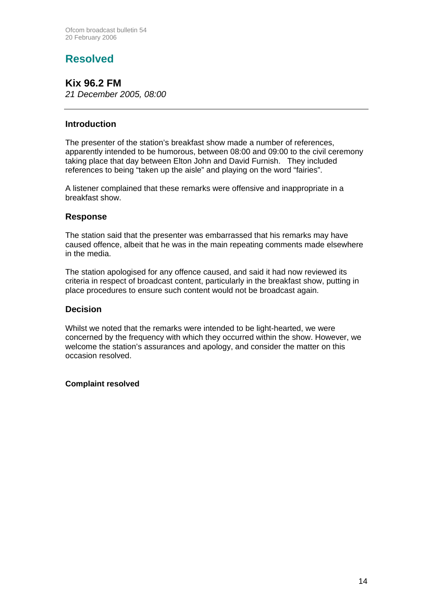# **Resolved**

**Kix 96.2 FM**  *21 December 2005, 08:00*

### **Introduction**

The presenter of the station's breakfast show made a number of references, apparently intended to be humorous, between 08:00 and 09:00 to the civil ceremony taking place that day between Elton John and David Furnish. They included references to being "taken up the aisle" and playing on the word "fairies".

A listener complained that these remarks were offensive and inappropriate in a breakfast show.

### **Response**

The station said that the presenter was embarrassed that his remarks may have caused offence, albeit that he was in the main repeating comments made elsewhere in the media.

The station apologised for any offence caused, and said it had now reviewed its criteria in respect of broadcast content, particularly in the breakfast show, putting in place procedures to ensure such content would not be broadcast again.

### **Decision**

Whilst we noted that the remarks were intended to be light-hearted, we were concerned by the frequency with which they occurred within the show. However, we welcome the station's assurances and apology, and consider the matter on this occasion resolved.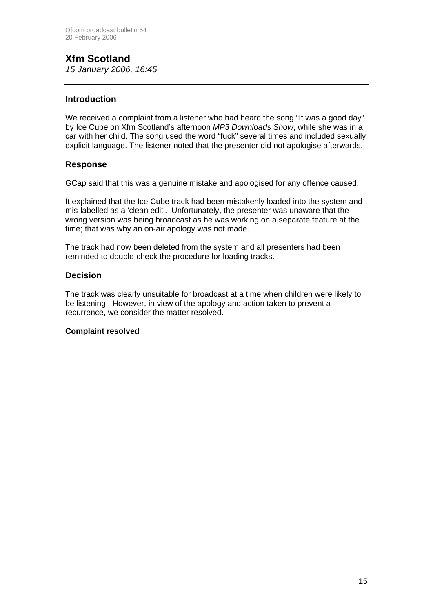# **Xfm Scotland**

*15 January 2006, 16:45*

### **Introduction**

We received a complaint from a listener who had heard the song "It was a good day" by Ice Cube on Xfm Scotland's afternoon *MP3 Downloads Show*, while she was in a car with her child. The song used the word "fuck" several times and included sexually explicit language. The listener noted that the presenter did not apologise afterwards.

### **Response**

GCap said that this was a genuine mistake and apologised for any offence caused.

It explained that the Ice Cube track had been mistakenly loaded into the system and mis-labelled as a 'clean edit'. Unfortunately, the presenter was unaware that the wrong version was being broadcast as he was working on a separate feature at the time; that was why an on-air apology was not made.

The track had now been deleted from the system and all presenters had been reminded to double-check the procedure for loading tracks.

### **Decision**

The track was clearly unsuitable for broadcast at a time when children were likely to be listening. However, in view of the apology and action taken to prevent a recurrence, we consider the matter resolved.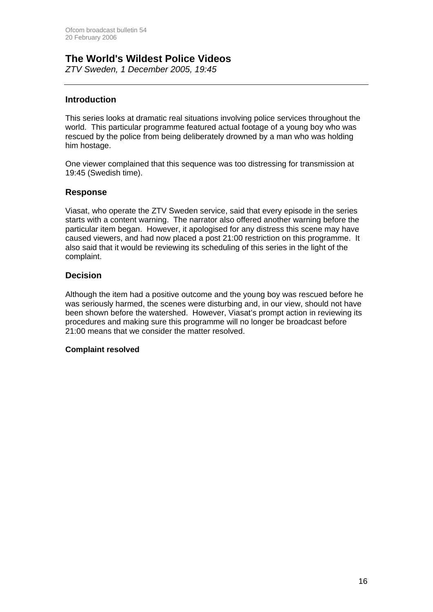# **The World's Wildest Police Videos**

*ZTV Sweden, 1 December 2005, 19:45*

### **Introduction**

This series looks at dramatic real situations involving police services throughout the world. This particular programme featured actual footage of a young boy who was rescued by the police from being deliberately drowned by a man who was holding him hostage.

One viewer complained that this sequence was too distressing for transmission at 19:45 (Swedish time).

### **Response**

Viasat, who operate the ZTV Sweden service, said that every episode in the series starts with a content warning. The narrator also offered another warning before the particular item began. However, it apologised for any distress this scene may have caused viewers, and had now placed a post 21:00 restriction on this programme. It also said that it would be reviewing its scheduling of this series in the light of the complaint.

### **Decision**

Although the item had a positive outcome and the young boy was rescued before he was seriously harmed, the scenes were disturbing and, in our view, should not have been shown before the watershed. However, Viasat's prompt action in reviewing its procedures and making sure this programme will no longer be broadcast before 21:00 means that we consider the matter resolved.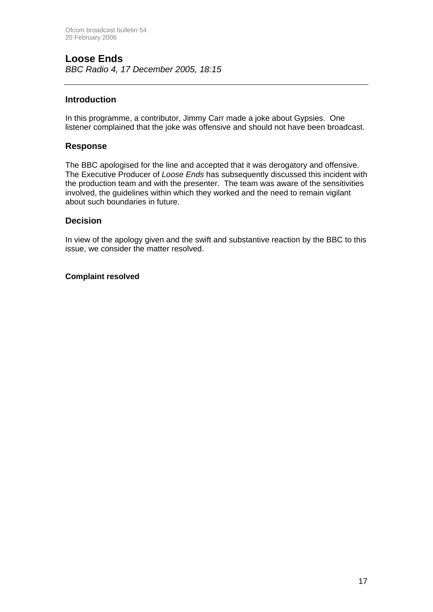### **Loose Ends**  *BBC Radio 4, 17 December 2005, 18:15*

### **Introduction**

In this programme, a contributor, Jimmy Carr made a joke about Gypsies. One listener complained that the joke was offensive and should not have been broadcast.

### **Response**

The BBC apologised for the line and accepted that it was derogatory and offensive. The Executive Producer of *Loose Ends* has subsequently discussed this incident with the production team and with the presenter. The team was aware of the sensitivities involved, the guidelines within which they worked and the need to remain vigilant about such boundaries in future.

### **Decision**

In view of the apology given and the swift and substantive reaction by the BBC to this issue, we consider the matter resolved.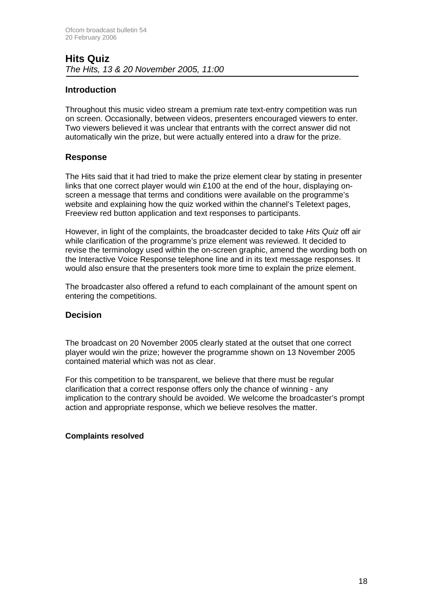### **Hits Quiz**  *The Hits, 13 & 20 November 2005, 11:00*

### **Introduction**

Throughout this music video stream a premium rate text-entry competition was run on screen. Occasionally, between videos, presenters encouraged viewers to enter. Two viewers believed it was unclear that entrants with the correct answer did not automatically win the prize, but were actually entered into a draw for the prize.

### **Response**

The Hits said that it had tried to make the prize element clear by stating in presenter links that one correct player would win £100 at the end of the hour, displaying onscreen a message that terms and conditions were available on the programme's website and explaining how the quiz worked within the channel's Teletext pages, Freeview red button application and text responses to participants.

However, in light of the complaints, the broadcaster decided to take *Hits Quiz* off air while clarification of the programme's prize element was reviewed. It decided to revise the terminology used within the on-screen graphic, amend the wording both on the Interactive Voice Response telephone line and in its text message responses. It would also ensure that the presenters took more time to explain the prize element.

The broadcaster also offered a refund to each complainant of the amount spent on entering the competitions.

### **Decision**

The broadcast on 20 November 2005 clearly stated at the outset that one correct player would win the prize; however the programme shown on 13 November 2005 contained material which was not as clear.

For this competition to be transparent, we believe that there must be regular clarification that a correct response offers only the chance of winning - any implication to the contrary should be avoided. We welcome the broadcaster's prompt action and appropriate response, which we believe resolves the matter.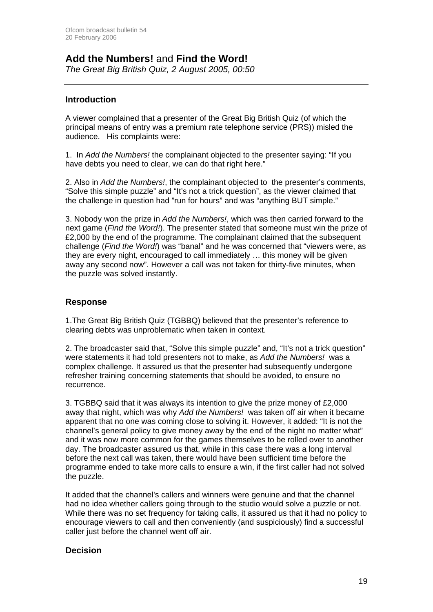## **Add the Numbers!** and **Find the Word!**

*The Great Big British Quiz, 2 August 2005, 00:50*

### **Introduction**

A viewer complained that a presenter of the Great Big British Quiz (of which the principal means of entry was a premium rate telephone service (PRS)) misled the audience. His complaints were:

1. In *Add the Numbers!* the complainant objected to the presenter saying: "If you have debts you need to clear, we can do that right here."

2. Also in *Add the Numbers!*, the complainant objected to the presenter's comments, "Solve this simple puzzle" and "It's not a trick question", as the viewer claimed that the challenge in question had "run for hours" and was "anything BUT simple."

3. Nobody won the prize in *Add the Numbers!*, which was then carried forward to the next game (*Find the Word!*). The presenter stated that someone must win the prize of £2,000 by the end of the programme. The complainant claimed that the subsequent challenge (*Find the Word!*) was "banal" and he was concerned that "viewers were, as they are every night, encouraged to call immediately … this money will be given away any second now". However a call was not taken for thirty-five minutes, when the puzzle was solved instantly.

### **Response**

1.The Great Big British Quiz (TGBBQ) believed that the presenter's reference to clearing debts was unproblematic when taken in context.

2. The broadcaster said that, "Solve this simple puzzle" and, "It's not a trick question" were statements it had told presenters not to make, as *Add the Numbers!* was a complex challenge. It assured us that the presenter had subsequently undergone refresher training concerning statements that should be avoided, to ensure no recurrence.

3. TGBBQ said that it was always its intention to give the prize money of £2,000 away that night, which was why *Add the Numbers!* was taken off air when it became apparent that no one was coming close to solving it. However, it added: "It is not the channel's general policy to give money away by the end of the night no matter what" and it was now more common for the games themselves to be rolled over to another day. The broadcaster assured us that, while in this case there was a long interval before the next call was taken, there would have been sufficient time before the programme ended to take more calls to ensure a win, if the first caller had not solved the puzzle.

It added that the channel's callers and winners were genuine and that the channel had no idea whether callers going through to the studio would solve a puzzle or not. While there was no set frequency for taking calls, it assured us that it had no policy to encourage viewers to call and then conveniently (and suspiciously) find a successful caller just before the channel went off air.

### **Decision**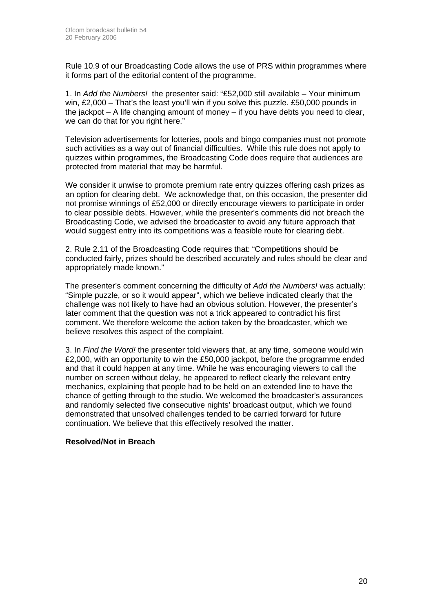Rule 10.9 of our Broadcasting Code allows the use of PRS within programmes where it forms part of the editorial content of the programme.

1. In *Add the Numbers!* the presenter said: "£52,000 still available – Your minimum win, £2,000 – That's the least you'll win if you solve this puzzle. £50,000 pounds in the jackpot  $- A$  life changing amount of money  $-$  if you have debts you need to clear. we can do that for you right here."

Television advertisements for lotteries, pools and bingo companies must not promote such activities as a way out of financial difficulties. While this rule does not apply to quizzes within programmes, the Broadcasting Code does require that audiences are protected from material that may be harmful.

We consider it unwise to promote premium rate entry quizzes offering cash prizes as an option for clearing debt. We acknowledge that, on this occasion, the presenter did not promise winnings of £52,000 or directly encourage viewers to participate in order to clear possible debts. However, while the presenter's comments did not breach the Broadcasting Code, we advised the broadcaster to avoid any future approach that would suggest entry into its competitions was a feasible route for clearing debt.

2. Rule 2.11 of the Broadcasting Code requires that: "Competitions should be conducted fairly, prizes should be described accurately and rules should be clear and appropriately made known."

The presenter's comment concerning the difficulty of *Add the Numbers!* was actually: "Simple puzzle, or so it would appear", which we believe indicated clearly that the challenge was not likely to have had an obvious solution. However, the presenter's later comment that the question was not a trick appeared to contradict his first comment. We therefore welcome the action taken by the broadcaster, which we believe resolves this aspect of the complaint.

3. In *Find the Word!* the presenter told viewers that, at any time, someone would win £2,000, with an opportunity to win the £50,000 jackpot, before the programme ended and that it could happen at any time. While he was encouraging viewers to call the number on screen without delay, he appeared to reflect clearly the relevant entry mechanics, explaining that people had to be held on an extended line to have the chance of getting through to the studio. We welcomed the broadcaster's assurances and randomly selected five consecutive nights' broadcast output, which we found demonstrated that unsolved challenges tended to be carried forward for future continuation. We believe that this effectively resolved the matter.

### **Resolved/Not in Breach**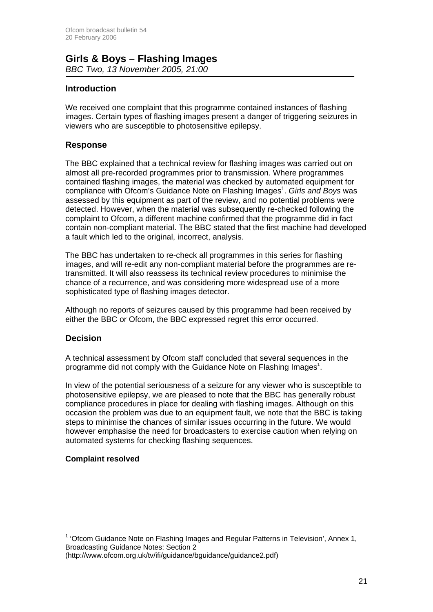### **Girls & Boys – Flashing Images**  *BBC Two, 13 November 2005, 21:00*

### **Introduction**

We received one complaint that this programme contained instances of flashing images. Certain types of flashing images present a danger of triggering seizures in viewers who are susceptible to photosensitive epilepsy.

### **Response**

The BBC explained that a technical review for flashing images was carried out on almost all pre-recorded programmes prior to transmission. Where programmes contained flashing images, the material was checked by automated equipment for compliance with Ofcom's Guidance Note on Flashing Images<sup>1</sup>. Girls and Boys was assessed by this equipment as part of the review, and no potential problems were detected. However, when the material was subsequently re-checked following the complaint to Ofcom, a different machine confirmed that the programme did in fact contain non-compliant material. The BBC stated that the first machine had developed a fault which led to the original, incorrect, analysis.

The BBC has undertaken to re-check all programmes in this series for flashing images, and will re-edit any non-compliant material before the programmes are retransmitted. It will also reassess its technical review procedures to minimise the chance of a recurrence, and was considering more widespread use of a more sophisticated type of flashing images detector.

Although no reports of seizures caused by this programme had been received by either the BBC or Ofcom, the BBC expressed regret this error occurred.

### **Decision**

A technical assessment by Ofcom staff concluded that several sequences in the programme did not comply with the Guidance Note on Flashing Images<sup>1</sup>.

In view of the potential seriousness of a seizure for any viewer who is susceptible to photosensitive epilepsy, we are pleased to note that the BBC has generally robust compliance procedures in place for dealing with flashing images. Although on this occasion the problem was due to an equipment fault, we note that the BBC is taking steps to minimise the chances of similar issues occurring in the future. We would however emphasise the need for broadcasters to exercise caution when relying on automated systems for checking flashing sequences.

### **Complaint resolved**

 <sup>1</sup> 'Ofcom Guidance Note on Flashing Images and Regular Patterns in Television', Annex 1, Broadcasting Guidance Notes: Section 2 (http://www.ofcom.org.uk/tv/ifi/guidance/bguidance/guidance2.pdf)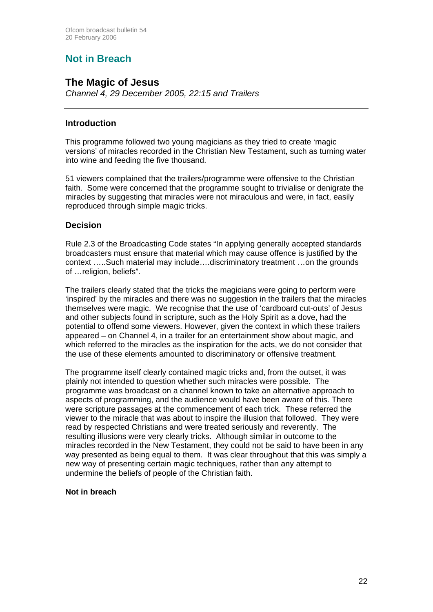## **Not in Breach**

### **The Magic of Jesus**

*Channel 4, 29 December 2005, 22:15 and Trailers*

### **Introduction**

This programme followed two young magicians as they tried to create 'magic versions' of miracles recorded in the Christian New Testament, such as turning water into wine and feeding the five thousand.

51 viewers complained that the trailers/programme were offensive to the Christian faith. Some were concerned that the programme sought to trivialise or denigrate the miracles by suggesting that miracles were not miraculous and were, in fact, easily reproduced through simple magic tricks.

### **Decision**

Rule 2.3 of the Broadcasting Code states "In applying generally accepted standards broadcasters must ensure that material which may cause offence is justified by the context …..Such material may include….discriminatory treatment …on the grounds of …religion, beliefs".

The trailers clearly stated that the tricks the magicians were going to perform were 'inspired' by the miracles and there was no suggestion in the trailers that the miracles themselves were magic. We recognise that the use of 'cardboard cut-outs' of Jesus and other subjects found in scripture, such as the Holy Spirit as a dove, had the potential to offend some viewers. However, given the context in which these trailers appeared – on Channel 4, in a trailer for an entertainment show about magic, and which referred to the miracles as the inspiration for the acts, we do not consider that the use of these elements amounted to discriminatory or offensive treatment.

The programme itself clearly contained magic tricks and, from the outset, it was plainly not intended to question whether such miracles were possible. The programme was broadcast on a channel known to take an alternative approach to aspects of programming, and the audience would have been aware of this. There were scripture passages at the commencement of each trick. These referred the viewer to the miracle that was about to inspire the illusion that followed. They were read by respected Christians and were treated seriously and reverently. The resulting illusions were very clearly tricks. Although similar in outcome to the miracles recorded in the New Testament, they could not be said to have been in any way presented as being equal to them. It was clear throughout that this was simply a new way of presenting certain magic techniques, rather than any attempt to undermine the beliefs of people of the Christian faith.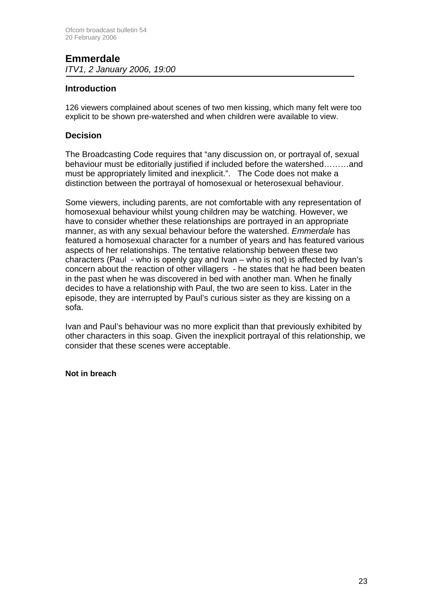## **Emmerdale**

*ITV1, 2 January 2006, 19:00* 

### **Introduction**

126 viewers complained about scenes of two men kissing, which many felt were too explicit to be shown pre-watershed and when children were available to view.

### **Decision**

The Broadcasting Code requires that "any discussion on, or portrayal of, sexual behaviour must be editorially justified if included before the watershed………and must be appropriately limited and inexplicit.". The Code does not make a distinction between the portrayal of homosexual or heterosexual behaviour.

Some viewers, including parents, are not comfortable with any representation of homosexual behaviour whilst young children may be watching. However, we have to consider whether these relationships are portrayed in an appropriate manner, as with any sexual behaviour before the watershed. *Emmerdale* has featured a homosexual character for a number of years and has featured various aspects of her relationships. The tentative relationship between these two characters (Paul - who is openly gay and Ivan – who is not) is affected by Ivan's concern about the reaction of other villagers - he states that he had been beaten in the past when he was discovered in bed with another man. When he finally decides to have a relationship with Paul, the two are seen to kiss. Later in the episode, they are interrupted by Paul's curious sister as they are kissing on a sofa.

Ivan and Paul's behaviour was no more explicit than that previously exhibited by other characters in this soap. Given the inexplicit portrayal of this relationship, we consider that these scenes were acceptable.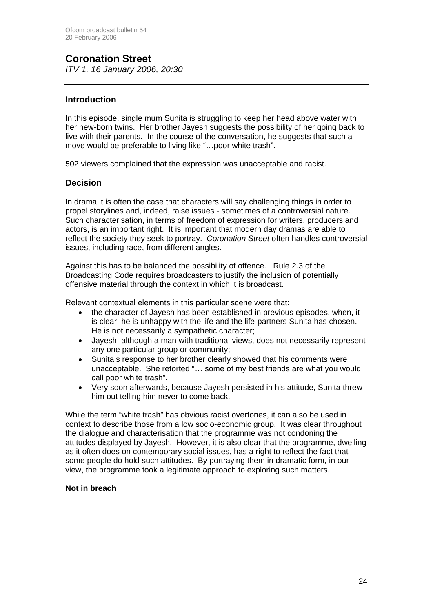# **Coronation Street**

*ITV 1, 16 January 2006, 20:30*

### **Introduction**

In this episode, single mum Sunita is struggling to keep her head above water with her new-born twins. Her brother Jayesh suggests the possibility of her going back to live with their parents. In the course of the conversation, he suggests that such a move would be preferable to living like "…poor white trash".

502 viewers complained that the expression was unacceptable and racist.

### **Decision**

In drama it is often the case that characters will say challenging things in order to propel storylines and, indeed, raise issues - sometimes of a controversial nature. Such characterisation, in terms of freedom of expression for writers, producers and actors, is an important right. It is important that modern day dramas are able to reflect the society they seek to portray. *Coronation Street* often handles controversial issues, including race, from different angles.

Against this has to be balanced the possibility of offence. Rule 2.3 of the Broadcasting Code requires broadcasters to justify the inclusion of potentially offensive material through the context in which it is broadcast.

Relevant contextual elements in this particular scene were that:

- the character of Jayesh has been established in previous episodes, when, it is clear, he is unhappy with the life and the life-partners Sunita has chosen. He is not necessarily a sympathetic character;
- Jayesh, although a man with traditional views, does not necessarily represent any one particular group or community;
- Sunita's response to her brother clearly showed that his comments were unacceptable. She retorted "… some of my best friends are what you would call poor white trash".
- Very soon afterwards, because Jayesh persisted in his attitude, Sunita threw him out telling him never to come back.

While the term "white trash" has obvious racist overtones, it can also be used in context to describe those from a low socio-economic group. It was clear throughout the dialogue and characterisation that the programme was not condoning the attitudes displayed by Jayesh. However, it is also clear that the programme, dwelling as it often does on contemporary social issues, has a right to reflect the fact that some people do hold such attitudes. By portraying them in dramatic form, in our view, the programme took a legitimate approach to exploring such matters.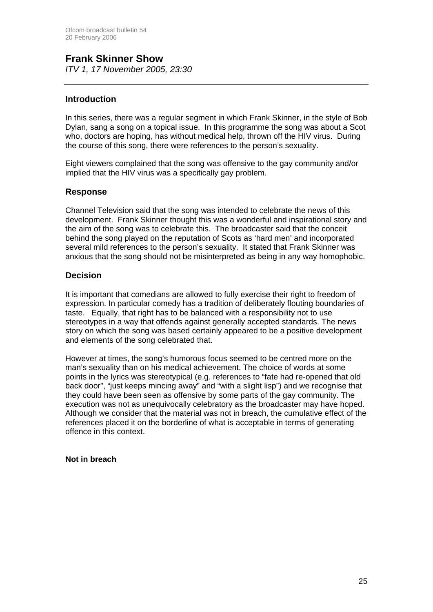### **Frank Skinner Show**  *ITV 1, 17 November 2005, 23:30*

### **Introduction**

In this series, there was a regular segment in which Frank Skinner, in the style of Bob Dylan, sang a song on a topical issue. In this programme the song was about a Scot who, doctors are hoping, has without medical help, thrown off the HIV virus. During the course of this song, there were references to the person's sexuality.

Eight viewers complained that the song was offensive to the gay community and/or implied that the HIV virus was a specifically gay problem.

### **Response**

Channel Television said that the song was intended to celebrate the news of this development. Frank Skinner thought this was a wonderful and inspirational story and the aim of the song was to celebrate this. The broadcaster said that the conceit behind the song played on the reputation of Scots as 'hard men' and incorporated several mild references to the person's sexuality. It stated that Frank Skinner was anxious that the song should not be misinterpreted as being in any way homophobic.

### **Decision**

It is important that comedians are allowed to fully exercise their right to freedom of expression. In particular comedy has a tradition of deliberately flouting boundaries of taste. Equally, that right has to be balanced with a responsibility not to use stereotypes in a way that offends against generally accepted standards. The news story on which the song was based certainly appeared to be a positive development and elements of the song celebrated that.

However at times, the song's humorous focus seemed to be centred more on the man's sexuality than on his medical achievement. The choice of words at some points in the lyrics was stereotypical (e.g. references to "fate had re-opened that old back door", "just keeps mincing away" and "with a slight lisp") and we recognise that they could have been seen as offensive by some parts of the gay community. The execution was not as unequivocally celebratory as the broadcaster may have hoped. Although we consider that the material was not in breach, the cumulative effect of the references placed it on the borderline of what is acceptable in terms of generating offence in this context.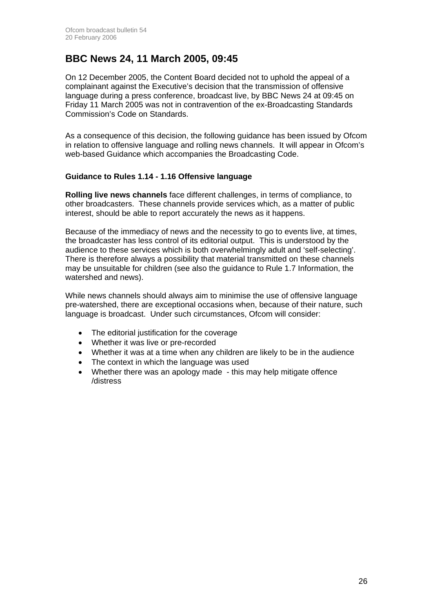## **BBC News 24, 11 March 2005, 09:45**

On 12 December 2005, the Content Board decided not to uphold the appeal of a complainant against the Executive's decision that the transmission of offensive language during a press conference, broadcast live, by BBC News 24 at 09:45 on Friday 11 March 2005 was not in contravention of the ex-Broadcasting Standards Commission's Code on Standards.

As a consequence of this decision, the following guidance has been issued by Ofcom in relation to offensive language and rolling news channels. It will appear in Ofcom's web-based Guidance which accompanies the Broadcasting Code.

### **Guidance to Rules 1.14 - 1.16 Offensive language**

**Rolling live news channels** face different challenges, in terms of compliance, to other broadcasters. These channels provide services which, as a matter of public interest, should be able to report accurately the news as it happens.

Because of the immediacy of news and the necessity to go to events live, at times, the broadcaster has less control of its editorial output. This is understood by the audience to these services which is both overwhelmingly adult and 'self-selecting'. There is therefore always a possibility that material transmitted on these channels may be unsuitable for children (see also the guidance to Rule 1.7 Information, the watershed and news).

While news channels should always aim to minimise the use of offensive language pre-watershed, there are exceptional occasions when, because of their nature, such language is broadcast. Under such circumstances, Ofcom will consider:

- The editorial justification for the coverage
- Whether it was live or pre-recorded
- Whether it was at a time when any children are likely to be in the audience
- The context in which the language was used
- Whether there was an apology made this may help mitigate offence /distress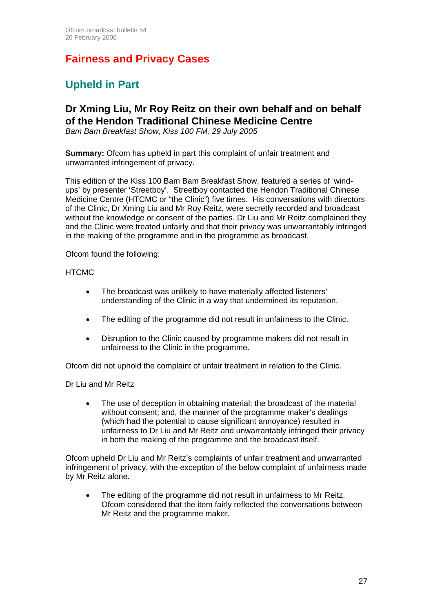# **Fairness and Privacy Cases**

# **Upheld in Part**

## **Dr Xming Liu, Mr Roy Reitz on their own behalf and on behalf of the Hendon Traditional Chinese Medicine Centre**

*Bam Bam Breakfast Show, Kiss 100 FM, 29 July 2005* 

**Summary:** Ofcom has upheld in part this complaint of unfair treatment and unwarranted infringement of privacy.

This edition of the Kiss 100 Bam Bam Breakfast Show, featured a series of 'windups' by presenter 'Streetboy'. Streetboy contacted the Hendon Traditional Chinese Medicine Centre (HTCMC or "the Clinic") five times. His conversations with directors of the Clinic, Dr Xming Liu and Mr Roy Reitz, were secretly recorded and broadcast without the knowledge or consent of the parties. Dr Liu and Mr Reitz complained they and the Clinic were treated unfairly and that their privacy was unwarrantably infringed in the making of the programme and in the programme as broadcast.

Ofcom found the following:

### **HTCMC**

- The broadcast was unlikely to have materially affected listeners' understanding of the Clinic in a way that undermined its reputation.
- The editing of the programme did not result in unfairness to the Clinic.
- Disruption to the Clinic caused by programme makers did not result in unfairness to the Clinic in the programme.

Ofcom did not uphold the complaint of unfair treatment in relation to the Clinic.

Dr Liu and Mr Reitz

The use of deception in obtaining material; the broadcast of the material without consent; and, the manner of the programme maker's dealings (which had the potential to cause significant annoyance) resulted in unfairness to Dr Liu and Mr Reitz and unwarrantably infringed their privacy in both the making of the programme and the broadcast itself.

Ofcom upheld Dr Liu and Mr Reitz's complaints of unfair treatment and unwarranted infringement of privacy, with the exception of the below complaint of unfairness made by Mr Reitz alone.

The editing of the programme did not result in unfairness to Mr Reitz. Ofcom considered that the item fairly reflected the conversations between Mr Reitz and the programme maker.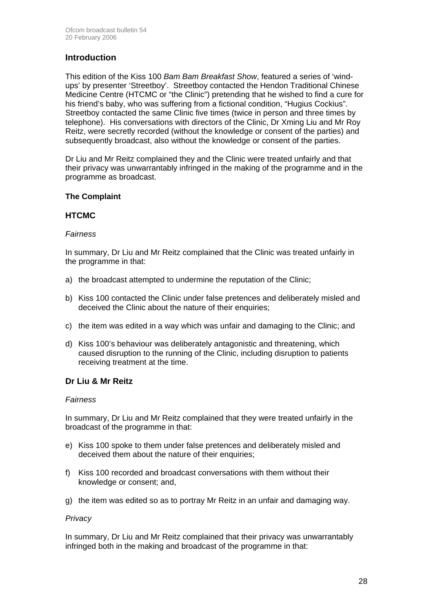### **Introduction**

This edition of the Kiss 100 *Bam Bam Breakfast Show*, featured a series of 'windups' by presenter 'Streetboy'. Streetboy contacted the Hendon Traditional Chinese Medicine Centre (HTCMC or "the Clinic") pretending that he wished to find a cure for his friend's baby, who was suffering from a fictional condition, "Hugius Cockius". Streetboy contacted the same Clinic five times (twice in person and three times by telephone). His conversations with directors of the Clinic, Dr Xming Liu and Mr Roy Reitz, were secretly recorded (without the knowledge or consent of the parties) and subsequently broadcast, also without the knowledge or consent of the parties.

Dr Liu and Mr Reitz complained they and the Clinic were treated unfairly and that their privacy was unwarrantably infringed in the making of the programme and in the programme as broadcast.

### **The Complaint**

### **HTCMC**

### *Fairness*

In summary, Dr Liu and Mr Reitz complained that the Clinic was treated unfairly in the programme in that:

- a) the broadcast attempted to undermine the reputation of the Clinic;
- b) Kiss 100 contacted the Clinic under false pretences and deliberately misled and deceived the Clinic about the nature of their enquiries;
- c) the item was edited in a way which was unfair and damaging to the Clinic; and
- d) Kiss 100's behaviour was deliberately antagonistic and threatening, which caused disruption to the running of the Clinic, including disruption to patients receiving treatment at the time.

### **Dr Liu & Mr Reitz**

### *Fairness*

In summary, Dr Liu and Mr Reitz complained that they were treated unfairly in the broadcast of the programme in that:

- e) Kiss 100 spoke to them under false pretences and deliberately misled and deceived them about the nature of their enquiries;
- f) Kiss 100 recorded and broadcast conversations with them without their knowledge or consent; and,
- g) the item was edited so as to portray Mr Reitz in an unfair and damaging way.

### *Privacy*

In summary, Dr Liu and Mr Reitz complained that their privacy was unwarrantably infringed both in the making and broadcast of the programme in that: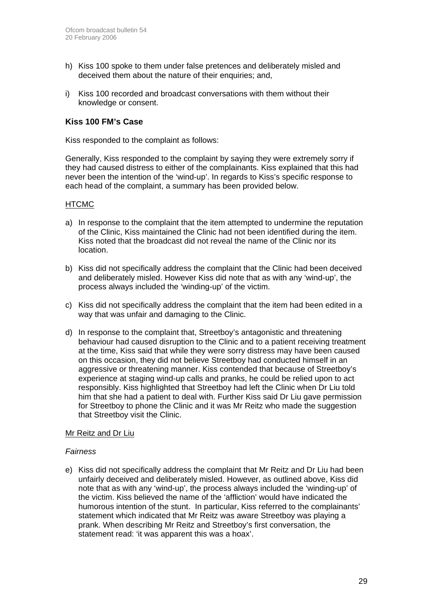- h) Kiss 100 spoke to them under false pretences and deliberately misled and deceived them about the nature of their enquiries; and,
- i) Kiss 100 recorded and broadcast conversations with them without their knowledge or consent.

### **Kiss 100 FM's Case**

Kiss responded to the complaint as follows:

Generally, Kiss responded to the complaint by saying they were extremely sorry if they had caused distress to either of the complainants. Kiss explained that this had never been the intention of the 'wind-up'. In regards to Kiss's specific response to each head of the complaint, a summary has been provided below.

### **HTCMC**

- a) In response to the complaint that the item attempted to undermine the reputation of the Clinic, Kiss maintained the Clinic had not been identified during the item. Kiss noted that the broadcast did not reveal the name of the Clinic nor its location.
- b) Kiss did not specifically address the complaint that the Clinic had been deceived and deliberately misled. However Kiss did note that as with any 'wind-up', the process always included the 'winding-up' of the victim.
- c) Kiss did not specifically address the complaint that the item had been edited in a way that was unfair and damaging to the Clinic.
- d) In response to the complaint that, Streetboy's antagonistic and threatening behaviour had caused disruption to the Clinic and to a patient receiving treatment at the time, Kiss said that while they were sorry distress may have been caused on this occasion, they did not believe Streetboy had conducted himself in an aggressive or threatening manner. Kiss contended that because of Streetboy's experience at staging wind-up calls and pranks, he could be relied upon to act responsibly. Kiss highlighted that Streetboy had left the Clinic when Dr Liu told him that she had a patient to deal with. Further Kiss said Dr Liu gave permission for Streetboy to phone the Clinic and it was Mr Reitz who made the suggestion that Streetboy visit the Clinic.

### Mr Reitz and Dr Liu

### *Fairness*

e) Kiss did not specifically address the complaint that Mr Reitz and Dr Liu had been unfairly deceived and deliberately misled. However, as outlined above, Kiss did note that as with any 'wind-up', the process always included the 'winding-up' of the victim. Kiss believed the name of the 'affliction' would have indicated the humorous intention of the stunt. In particular, Kiss referred to the complainants' statement which indicated that Mr Reitz was aware Streetboy was playing a prank. When describing Mr Reitz and Streetboy's first conversation, the statement read: 'it was apparent this was a hoax'.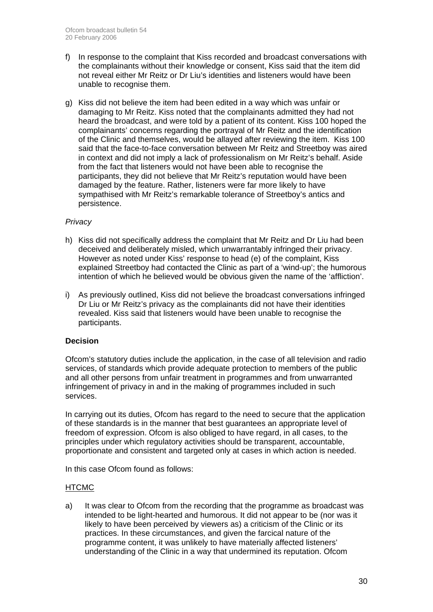- f) In response to the complaint that Kiss recorded and broadcast conversations with the complainants without their knowledge or consent, Kiss said that the item did not reveal either Mr Reitz or Dr Liu's identities and listeners would have been unable to recognise them.
- g) Kiss did not believe the item had been edited in a way which was unfair or damaging to Mr Reitz. Kiss noted that the complainants admitted they had not heard the broadcast, and were told by a patient of its content. Kiss 100 hoped the complainants' concerns regarding the portrayal of Mr Reitz and the identification of the Clinic and themselves, would be allayed after reviewing the item. Kiss 100 said that the face-to-face conversation between Mr Reitz and Streetboy was aired in context and did not imply a lack of professionalism on Mr Reitz's behalf. Aside from the fact that listeners would not have been able to recognise the participants, they did not believe that Mr Reitz's reputation would have been damaged by the feature. Rather, listeners were far more likely to have sympathised with Mr Reitz's remarkable tolerance of Streetboy's antics and persistence.

### *Privacy*

- h) Kiss did not specifically address the complaint that Mr Reitz and Dr Liu had been deceived and deliberately misled, which unwarrantably infringed their privacy. However as noted under Kiss' response to head (e) of the complaint, Kiss explained Streetboy had contacted the Clinic as part of a 'wind-up'; the humorous intention of which he believed would be obvious given the name of the 'affliction'.
- i) As previously outlined, Kiss did not believe the broadcast conversations infringed Dr Liu or Mr Reitz's privacy as the complainants did not have their identities revealed. Kiss said that listeners would have been unable to recognise the participants.

### **Decision**

Ofcom's statutory duties include the application, in the case of all television and radio services, of standards which provide adequate protection to members of the public and all other persons from unfair treatment in programmes and from unwarranted infringement of privacy in and in the making of programmes included in such services.

In carrying out its duties, Ofcom has regard to the need to secure that the application of these standards is in the manner that best guarantees an appropriate level of freedom of expression. Ofcom is also obliged to have regard, in all cases, to the principles under which regulatory activities should be transparent, accountable, proportionate and consistent and targeted only at cases in which action is needed.

In this case Ofcom found as follows:

### **HTCMC**

a) It was clear to Ofcom from the recording that the programme as broadcast was intended to be light-hearted and humorous. It did not appear to be (nor was it likely to have been perceived by viewers as) a criticism of the Clinic or its practices. In these circumstances, and given the farcical nature of the programme content, it was unlikely to have materially affected listeners' understanding of the Clinic in a way that undermined its reputation. Ofcom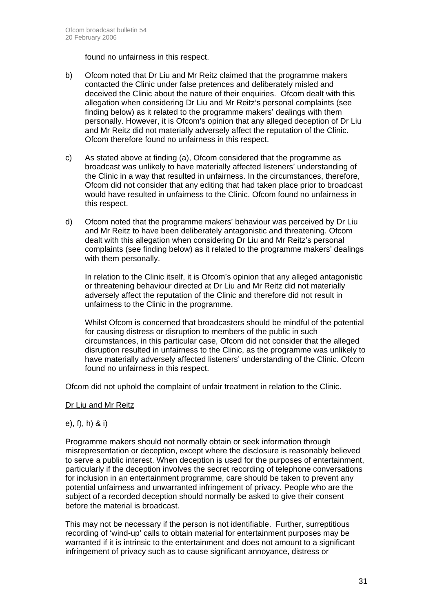found no unfairness in this respect.

- b) Ofcom noted that Dr Liu and Mr Reitz claimed that the programme makers contacted the Clinic under false pretences and deliberately misled and deceived the Clinic about the nature of their enquiries. Ofcom dealt with this allegation when considering Dr Liu and Mr Reitz's personal complaints (see finding below) as it related to the programme makers' dealings with them personally. However, it is Ofcom's opinion that any alleged deception of Dr Liu and Mr Reitz did not materially adversely affect the reputation of the Clinic. Ofcom therefore found no unfairness in this respect.
- c) As stated above at finding (a), Ofcom considered that the programme as broadcast was unlikely to have materially affected listeners' understanding of the Clinic in a way that resulted in unfairness. In the circumstances, therefore, Ofcom did not consider that any editing that had taken place prior to broadcast would have resulted in unfairness to the Clinic. Ofcom found no unfairness in this respect.
- d) Ofcom noted that the programme makers' behaviour was perceived by Dr Liu and Mr Reitz to have been deliberately antagonistic and threatening. Ofcom dealt with this allegation when considering Dr Liu and Mr Reitz's personal complaints (see finding below) as it related to the programme makers' dealings with them personally.

 In relation to the Clinic itself, it is Ofcom's opinion that any alleged antagonistic or threatening behaviour directed at Dr Liu and Mr Reitz did not materially adversely affect the reputation of the Clinic and therefore did not result in unfairness to the Clinic in the programme.

 Whilst Ofcom is concerned that broadcasters should be mindful of the potential for causing distress or disruption to members of the public in such circumstances, in this particular case, Ofcom did not consider that the alleged disruption resulted in unfairness to the Clinic, as the programme was unlikely to have materially adversely affected listeners' understanding of the Clinic. Ofcom found no unfairness in this respect.

Ofcom did not uphold the complaint of unfair treatment in relation to the Clinic.

### Dr Liu and Mr Reitz

### e), f), h) & i)

Programme makers should not normally obtain or seek information through misrepresentation or deception, except where the disclosure is reasonably believed to serve a public interest. When deception is used for the purposes of entertainment, particularly if the deception involves the secret recording of telephone conversations for inclusion in an entertainment programme, care should be taken to prevent any potential unfairness and unwarranted infringement of privacy. People who are the subject of a recorded deception should normally be asked to give their consent before the material is broadcast.

This may not be necessary if the person is not identifiable. Further, surreptitious recording of 'wind-up' calls to obtain material for entertainment purposes may be warranted if it is intrinsic to the entertainment and does not amount to a significant infringement of privacy such as to cause significant annoyance, distress or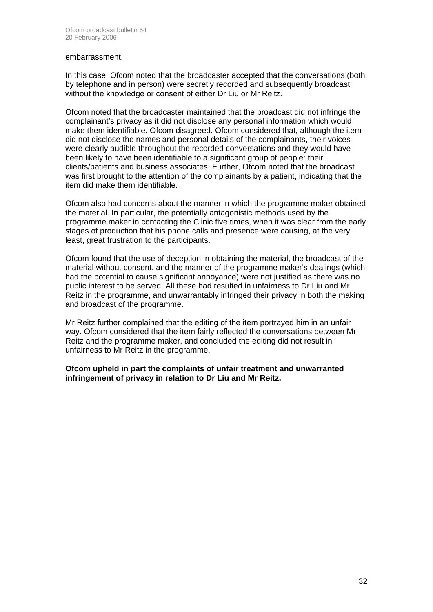#### embarrassment.

In this case, Ofcom noted that the broadcaster accepted that the conversations (both by telephone and in person) were secretly recorded and subsequently broadcast without the knowledge or consent of either Dr Liu or Mr Reitz.

Ofcom noted that the broadcaster maintained that the broadcast did not infringe the complainant's privacy as it did not disclose any personal information which would make them identifiable. Ofcom disagreed. Ofcom considered that, although the item did not disclose the names and personal details of the complainants, their voices were clearly audible throughout the recorded conversations and they would have been likely to have been identifiable to a significant group of people: their clients/patients and business associates. Further, Ofcom noted that the broadcast was first brought to the attention of the complainants by a patient, indicating that the item did make them identifiable.

Ofcom also had concerns about the manner in which the programme maker obtained the material. In particular, the potentially antagonistic methods used by the programme maker in contacting the Clinic five times, when it was clear from the early stages of production that his phone calls and presence were causing, at the very least, great frustration to the participants.

Ofcom found that the use of deception in obtaining the material, the broadcast of the material without consent, and the manner of the programme maker's dealings (which had the potential to cause significant annoyance) were not justified as there was no public interest to be served. All these had resulted in unfairness to Dr Liu and Mr Reitz in the programme, and unwarrantably infringed their privacy in both the making and broadcast of the programme.

Mr Reitz further complained that the editing of the item portrayed him in an unfair way. Ofcom considered that the item fairly reflected the conversations between Mr Reitz and the programme maker, and concluded the editing did not result in unfairness to Mr Reitz in the programme.

**Ofcom upheld in part the complaints of unfair treatment and unwarranted infringement of privacy in relation to Dr Liu and Mr Reitz.**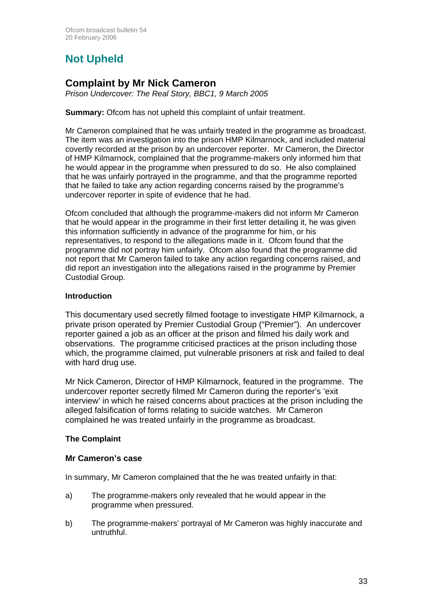# **Not Upheld**

## **Complaint by Mr Nick Cameron**

*Prison Undercover: The Real Story, BBC1, 9 March 2005* 

**Summary:** Ofcom has not upheld this complaint of unfair treatment.

Mr Cameron complained that he was unfairly treated in the programme as broadcast. The item was an investigation into the prison HMP Kilmarnock, and included material covertly recorded at the prison by an undercover reporter. Mr Cameron, the Director of HMP Kilmarnock, complained that the programme-makers only informed him that he would appear in the programme when pressured to do so. He also complained that he was unfairly portrayed in the programme, and that the programme reported that he failed to take any action regarding concerns raised by the programme's undercover reporter in spite of evidence that he had.

Ofcom concluded that although the programme-makers did not inform Mr Cameron that he would appear in the programme in their first letter detailing it, he was given this information sufficiently in advance of the programme for him, or his representatives, to respond to the allegations made in it. Ofcom found that the programme did not portray him unfairly. Ofcom also found that the programme did not report that Mr Cameron failed to take any action regarding concerns raised, and did report an investigation into the allegations raised in the programme by Premier Custodial Group.

### **Introduction**

This documentary used secretly filmed footage to investigate HMP Kilmarnock, a private prison operated by Premier Custodial Group ("Premier"). An undercover reporter gained a job as an officer at the prison and filmed his daily work and observations. The programme criticised practices at the prison including those which, the programme claimed, put vulnerable prisoners at risk and failed to deal with hard drug use.

Mr Nick Cameron, Director of HMP Kilmarnock, featured in the programme. The undercover reporter secretly filmed Mr Cameron during the reporter's 'exit interview' in which he raised concerns about practices at the prison including the alleged falsification of forms relating to suicide watches. Mr Cameron complained he was treated unfairly in the programme as broadcast.

### **The Complaint**

### **Mr Cameron's case**

In summary, Mr Cameron complained that the he was treated unfairly in that:

- a) The programme-makers only revealed that he would appear in the programme when pressured.
- b) The programme-makers' portrayal of Mr Cameron was highly inaccurate and untruthful.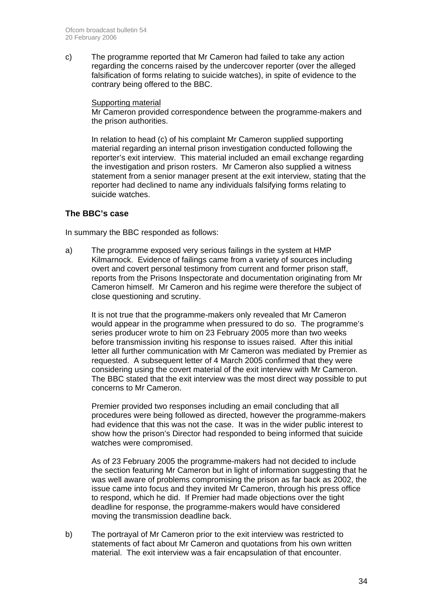c) The programme reported that Mr Cameron had failed to take any action regarding the concerns raised by the undercover reporter (over the alleged falsification of forms relating to suicide watches), in spite of evidence to the contrary being offered to the BBC.

### Supporting material

Mr Cameron provided correspondence between the programme-makers and the prison authorities.

In relation to head (c) of his complaint Mr Cameron supplied supporting material regarding an internal prison investigation conducted following the reporter's exit interview. This material included an email exchange regarding the investigation and prison rosters. Mr Cameron also supplied a witness statement from a senior manager present at the exit interview, stating that the reporter had declined to name any individuals falsifying forms relating to suicide watches.

### **The BBC's case**

In summary the BBC responded as follows:

a) The programme exposed very serious failings in the system at HMP Kilmarnock. Evidence of failings came from a variety of sources including overt and covert personal testimony from current and former prison staff, reports from the Prisons Inspectorate and documentation originating from Mr Cameron himself. Mr Cameron and his regime were therefore the subject of close questioning and scrutiny.

It is not true that the programme-makers only revealed that Mr Cameron would appear in the programme when pressured to do so. The programme's series producer wrote to him on 23 February 2005 more than two weeks before transmission inviting his response to issues raised. After this initial letter all further communication with Mr Cameron was mediated by Premier as requested. A subsequent letter of 4 March 2005 confirmed that they were considering using the covert material of the exit interview with Mr Cameron. The BBC stated that the exit interview was the most direct way possible to put concerns to Mr Cameron.

Premier provided two responses including an email concluding that all procedures were being followed as directed, however the programme-makers had evidence that this was not the case. It was in the wider public interest to show how the prison's Director had responded to being informed that suicide watches were compromised.

As of 23 February 2005 the programme-makers had not decided to include the section featuring Mr Cameron but in light of information suggesting that he was well aware of problems compromising the prison as far back as 2002, the issue came into focus and they invited Mr Cameron, through his press office to respond, which he did. If Premier had made objections over the tight deadline for response, the programme-makers would have considered moving the transmission deadline back.

b) The portrayal of Mr Cameron prior to the exit interview was restricted to statements of fact about Mr Cameron and quotations from his own written material. The exit interview was a fair encapsulation of that encounter.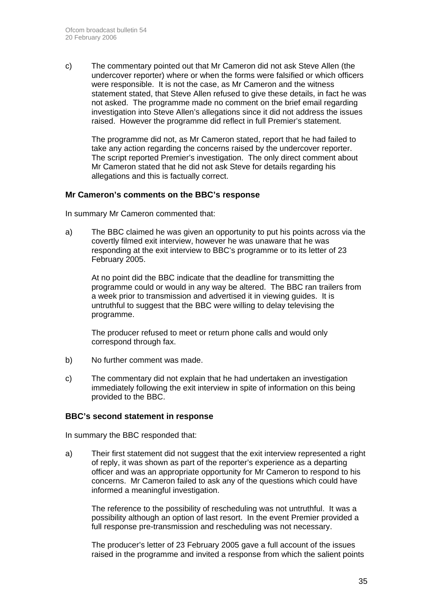c) The commentary pointed out that Mr Cameron did not ask Steve Allen (the undercover reporter) where or when the forms were falsified or which officers were responsible. It is not the case, as Mr Cameron and the witness statement stated, that Steve Allen refused to give these details, in fact he was not asked. The programme made no comment on the brief email regarding investigation into Steve Allen's allegations since it did not address the issues raised. However the programme did reflect in full Premier's statement.

The programme did not, as Mr Cameron stated, report that he had failed to take any action regarding the concerns raised by the undercover reporter. The script reported Premier's investigation. The only direct comment about Mr Cameron stated that he did not ask Steve for details regarding his allegations and this is factually correct.

### **Mr Cameron's comments on the BBC's response**

In summary Mr Cameron commented that:

a) The BBC claimed he was given an opportunity to put his points across via the covertly filmed exit interview, however he was unaware that he was responding at the exit interview to BBC's programme or to its letter of 23 February 2005.

At no point did the BBC indicate that the deadline for transmitting the programme could or would in any way be altered. The BBC ran trailers from a week prior to transmission and advertised it in viewing guides. It is untruthful to suggest that the BBC were willing to delay televising the programme.

The producer refused to meet or return phone calls and would only correspond through fax.

- b) No further comment was made.
- c) The commentary did not explain that he had undertaken an investigation immediately following the exit interview in spite of information on this being provided to the BBC.

### **BBC's second statement in response**

In summary the BBC responded that:

a) Their first statement did not suggest that the exit interview represented a right of reply, it was shown as part of the reporter's experience as a departing officer and was an appropriate opportunity for Mr Cameron to respond to his concerns. Mr Cameron failed to ask any of the questions which could have informed a meaningful investigation.

The reference to the possibility of rescheduling was not untruthful. It was a possibility although an option of last resort. In the event Premier provided a full response pre-transmission and rescheduling was not necessary.

The producer's letter of 23 February 2005 gave a full account of the issues raised in the programme and invited a response from which the salient points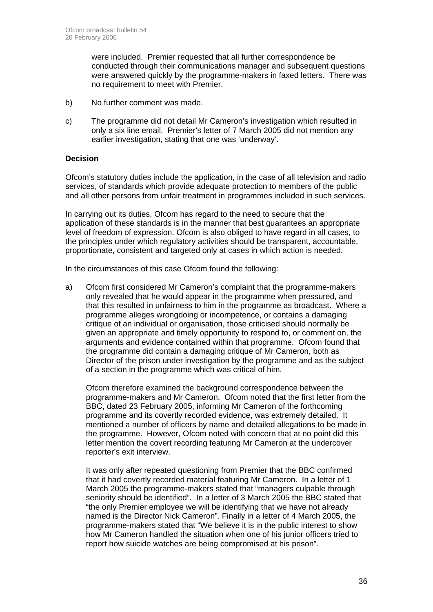were included. Premier requested that all further correspondence be conducted through their communications manager and subsequent questions were answered quickly by the programme-makers in faxed letters. There was no requirement to meet with Premier.

- b) No further comment was made.
- c) The programme did not detail Mr Cameron's investigation which resulted in only a six line email. Premier's letter of 7 March 2005 did not mention any earlier investigation, stating that one was 'underway'.

### **Decision**

Ofcom's statutory duties include the application, in the case of all television and radio services, of standards which provide adequate protection to members of the public and all other persons from unfair treatment in programmes included in such services.

In carrying out its duties, Ofcom has regard to the need to secure that the application of these standards is in the manner that best guarantees an appropriate level of freedom of expression. Ofcom is also obliged to have regard in all cases, to the principles under which regulatory activities should be transparent, accountable, proportionate, consistent and targeted only at cases in which action is needed.

In the circumstances of this case Ofcom found the following:

a) Ofcom first considered Mr Cameron's complaint that the programme-makers only revealed that he would appear in the programme when pressured, and that this resulted in unfairness to him in the programme as broadcast. Where a programme alleges wrongdoing or incompetence, or contains a damaging critique of an individual or organisation, those criticised should normally be given an appropriate and timely opportunity to respond to, or comment on, the arguments and evidence contained within that programme. Ofcom found that the programme did contain a damaging critique of Mr Cameron, both as Director of the prison under investigation by the programme and as the subject of a section in the programme which was critical of him.

Ofcom therefore examined the background correspondence between the programme-makers and Mr Cameron. Ofcom noted that the first letter from the BBC, dated 23 February 2005, informing Mr Cameron of the forthcoming programme and its covertly recorded evidence, was extremely detailed. It mentioned a number of officers by name and detailed allegations to be made in the programme. However, Ofcom noted with concern that at no point did this letter mention the covert recording featuring Mr Cameron at the undercover reporter's exit interview.

It was only after repeated questioning from Premier that the BBC confirmed that it had covertly recorded material featuring Mr Cameron. In a letter of 1 March 2005 the programme-makers stated that "managers culpable through seniority should be identified". In a letter of 3 March 2005 the BBC stated that "the only Premier employee we will be identifying that we have not already named is the Director Nick Cameron". Finally in a letter of 4 March 2005, the programme-makers stated that "We believe it is in the public interest to show how Mr Cameron handled the situation when one of his junior officers tried to report how suicide watches are being compromised at his prison".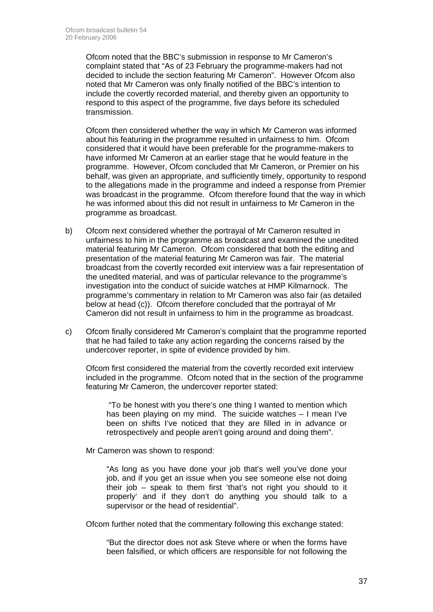Ofcom noted that the BBC's submission in response to Mr Cameron's complaint stated that "As of 23 February the programme-makers had not decided to include the section featuring Mr Cameron". However Ofcom also noted that Mr Cameron was only finally notified of the BBC's intention to include the covertly recorded material, and thereby given an opportunity to respond to this aspect of the programme, five days before its scheduled transmission.

Ofcom then considered whether the way in which Mr Cameron was informed about his featuring in the programme resulted in unfairness to him. Ofcom considered that it would have been preferable for the programme-makers to have informed Mr Cameron at an earlier stage that he would feature in the programme. However, Ofcom concluded that Mr Cameron, or Premier on his behalf, was given an appropriate, and sufficiently timely, opportunity to respond to the allegations made in the programme and indeed a response from Premier was broadcast in the programme. Ofcom therefore found that the way in which he was informed about this did not result in unfairness to Mr Cameron in the programme as broadcast.

- b) Ofcom next considered whether the portrayal of Mr Cameron resulted in unfairness to him in the programme as broadcast and examined the unedited material featuring Mr Cameron. Ofcom considered that both the editing and presentation of the material featuring Mr Cameron was fair. The material broadcast from the covertly recorded exit interview was a fair representation of the unedited material, and was of particular relevance to the programme's investigation into the conduct of suicide watches at HMP Kilmarnock. The programme's commentary in relation to Mr Cameron was also fair (as detailed below at head (c)). Ofcom therefore concluded that the portrayal of Mr Cameron did not result in unfairness to him in the programme as broadcast.
- c) Ofcom finally considered Mr Cameron's complaint that the programme reported that he had failed to take any action regarding the concerns raised by the undercover reporter, in spite of evidence provided by him.

Ofcom first considered the material from the covertly recorded exit interview included in the programme. Ofcom noted that in the section of the programme featuring Mr Cameron, the undercover reporter stated:

 "To be honest with you there's one thing I wanted to mention which has been playing on my mind. The suicide watches – I mean I've been on shifts I've noticed that they are filled in in advance or retrospectively and people aren't going around and doing them".

Mr Cameron was shown to respond:

"As long as you have done your job that's well you've done your job, and if you get an issue when you see someone else not doing their job – speak to them first 'that's not right you should to it properly' and if they don't do anything you should talk to a supervisor or the head of residential".

Ofcom further noted that the commentary following this exchange stated:

"But the director does not ask Steve where or when the forms have been falsified, or which officers are responsible for not following the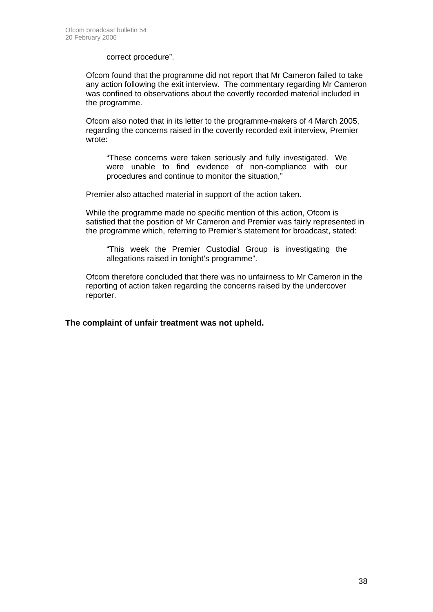correct procedure".

Ofcom found that the programme did not report that Mr Cameron failed to take any action following the exit interview. The commentary regarding Mr Cameron was confined to observations about the covertly recorded material included in the programme.

Ofcom also noted that in its letter to the programme-makers of 4 March 2005, regarding the concerns raised in the covertly recorded exit interview, Premier wrote:

"These concerns were taken seriously and fully investigated. We were unable to find evidence of non-compliance with our procedures and continue to monitor the situation,"

Premier also attached material in support of the action taken.

While the programme made no specific mention of this action, Ofcom is satisfied that the position of Mr Cameron and Premier was fairly represented in the programme which, referring to Premier's statement for broadcast, stated:

"This week the Premier Custodial Group is investigating the allegations raised in tonight's programme".

Ofcom therefore concluded that there was no unfairness to Mr Cameron in the reporting of action taken regarding the concerns raised by the undercover reporter.

**The complaint of unfair treatment was not upheld.**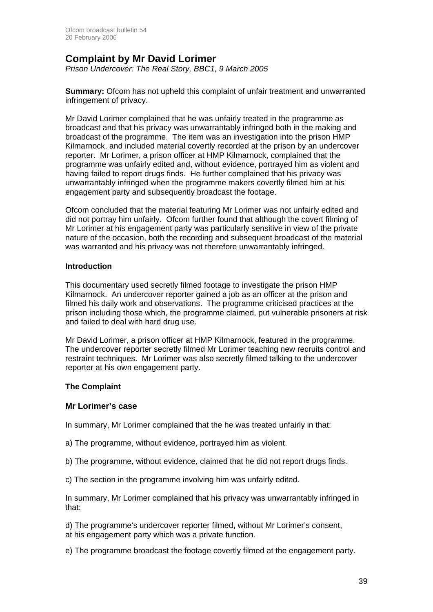## **Complaint by Mr David Lorimer**

*Prison Undercover: The Real Story, BBC1, 9 March 2005* 

**Summary:** Ofcom has not upheld this complaint of unfair treatment and unwarranted infringement of privacy.

Mr David Lorimer complained that he was unfairly treated in the programme as broadcast and that his privacy was unwarrantably infringed both in the making and broadcast of the programme. The item was an investigation into the prison HMP Kilmarnock, and included material covertly recorded at the prison by an undercover reporter. Mr Lorimer, a prison officer at HMP Kilmarnock, complained that the programme was unfairly edited and, without evidence, portrayed him as violent and having failed to report drugs finds. He further complained that his privacy was unwarrantably infringed when the programme makers covertly filmed him at his engagement party and subsequently broadcast the footage.

Ofcom concluded that the material featuring Mr Lorimer was not unfairly edited and did not portray him unfairly. Ofcom further found that although the covert filming of Mr Lorimer at his engagement party was particularly sensitive in view of the private nature of the occasion, both the recording and subsequent broadcast of the material was warranted and his privacy was not therefore unwarrantably infringed.

### **Introduction**

This documentary used secretly filmed footage to investigate the prison HMP Kilmarnock. An undercover reporter gained a job as an officer at the prison and filmed his daily work and observations. The programme criticised practices at the prison including those which, the programme claimed, put vulnerable prisoners at risk and failed to deal with hard drug use.

Mr David Lorimer, a prison officer at HMP Kilmarnock, featured in the programme. The undercover reporter secretly filmed Mr Lorimer teaching new recruits control and restraint techniques. Mr Lorimer was also secretly filmed talking to the undercover reporter at his own engagement party.

### **The Complaint**

### **Mr Lorimer's case**

In summary, Mr Lorimer complained that the he was treated unfairly in that:

- a) The programme, without evidence, portrayed him as violent.
- b) The programme, without evidence, claimed that he did not report drugs finds.
- c) The section in the programme involving him was unfairly edited.

In summary, Mr Lorimer complained that his privacy was unwarrantably infringed in that:

d) The programme's undercover reporter filmed, without Mr Lorimer's consent, at his engagement party which was a private function.

e) The programme broadcast the footage covertly filmed at the engagement party.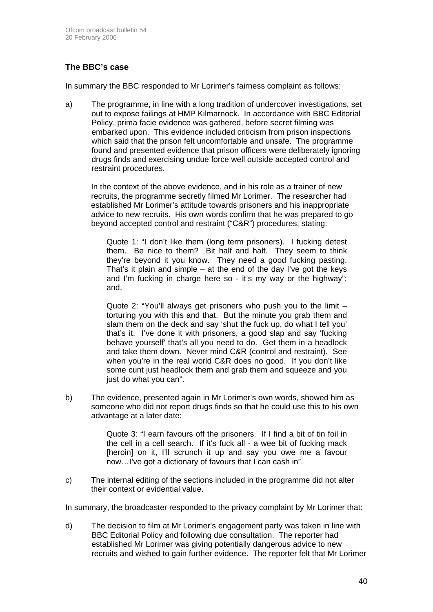### **The BBC's case**

In summary the BBC responded to Mr Lorimer's fairness complaint as follows:

a) The programme, in line with a long tradition of undercover investigations, set out to expose failings at HMP Kilmarnock. In accordance with BBC Editorial Policy, prima facie evidence was gathered, before secret filming was embarked upon. This evidence included criticism from prison inspections which said that the prison felt uncomfortable and unsafe. The programme found and presented evidence that prison officers were deliberately ignoring drugs finds and exercising undue force well outside accepted control and restraint procedures.

In the context of the above evidence, and in his role as a trainer of new recruits, the programme secretly filmed Mr Lorimer. The researcher had established Mr Lorimer's attitude towards prisoners and his inappropriate advice to new recruits. His own words confirm that he was prepared to go beyond accepted control and restraint ("C&R") procedures, stating:

Quote 1: "I don't like them (long term prisoners). I fucking detest them. Be nice to them? Bit half and half. They seem to think they're beyond it you know. They need a good fucking pasting. That's it plain and simple – at the end of the day I've got the keys and I'm fucking in charge here so - it's my way or the highway"; and,

Quote 2: "You'll always get prisoners who push you to the limit – torturing you with this and that. But the minute you grab them and slam them on the deck and say 'shut the fuck up, do what I tell you' that's it. I've done it with prisoners, a good slap and say 'fucking behave yourself' that's all you need to do. Get them in a headlock and take them down. Never mind C&R (control and restraint). See when you're in the real world C&R does no good. If you don't like some cunt just headlock them and grab them and squeeze and you just do what you can".

b) The evidence, presented again in Mr Lorimer's own words, showed him as someone who did not report drugs finds so that he could use this to his own advantage at a later date:

> Quote 3: "I earn favours off the prisoners. If I find a bit of tin foil in the cell in a cell search. If it's fuck all - a wee bit of fucking mack [heroin] on it, I'll scrunch it up and say you owe me a favour now…I've got a dictionary of favours that I can cash in".

c) The internal editing of the sections included in the programme did not alter their context or evidential value.

In summary, the broadcaster responded to the privacy complaint by Mr Lorimer that:

d) The decision to film at Mr Lorimer's engagement party was taken in line with BBC Editorial Policy and following due consultation. The reporter had established Mr Lorimer was giving potentially dangerous advice to new recruits and wished to gain further evidence. The reporter felt that Mr Lorimer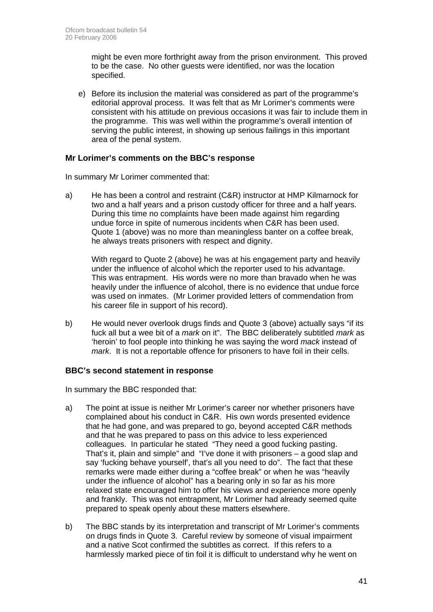might be even more forthright away from the prison environment. This proved to be the case. No other guests were identified, nor was the location specified.

e) Before its inclusion the material was considered as part of the programme's editorial approval process. It was felt that as Mr Lorimer's comments were consistent with his attitude on previous occasions it was fair to include them in the programme. This was well within the programme's overall intention of serving the public interest, in showing up serious failings in this important area of the penal system.

### **Mr Lorimer's comments on the BBC's response**

In summary Mr Lorimer commented that:

a) He has been a control and restraint (C&R) instructor at HMP Kilmarnock for two and a half years and a prison custody officer for three and a half years. During this time no complaints have been made against him regarding undue force in spite of numerous incidents when C&R has been used. Quote 1 (above) was no more than meaningless banter on a coffee break, he always treats prisoners with respect and dignity.

With regard to Quote 2 (above) he was at his engagement party and heavily under the influence of alcohol which the reporter used to his advantage. This was entrapment. His words were no more than bravado when he was heavily under the influence of alcohol, there is no evidence that undue force was used on inmates. (Mr Lorimer provided letters of commendation from his career file in support of his record).

b) He would never overlook drugs finds and Quote 3 (above) actually says "if its fuck all but a wee bit of a *mark* on it". The BBC deliberately subtitled *mark* as 'heroin' to fool people into thinking he was saying the word *mack* instead of *mark*. It is not a reportable offence for prisoners to have foil in their cells.

### **BBC's second statement in response**

In summary the BBC responded that:

- a) The point at issue is neither Mr Lorimer's career nor whether prisoners have complained about his conduct in C&R. His own words presented evidence that he had gone, and was prepared to go, beyond accepted C&R methods and that he was prepared to pass on this advice to less experienced colleagues. In particular he stated "They need a good fucking pasting. That's it, plain and simple" and "I've done it with prisoners – a good slap and say 'fucking behave yourself', that's all you need to do". The fact that these remarks were made either during a "coffee break" or when he was "heavily under the influence of alcohol" has a bearing only in so far as his more relaxed state encouraged him to offer his views and experience more openly and frankly. This was not entrapment, Mr Lorimer had already seemed quite prepared to speak openly about these matters elsewhere.
- b) The BBC stands by its interpretation and transcript of Mr Lorimer's comments on drugs finds in Quote 3. Careful review by someone of visual impairment and a native Scot confirmed the subtitles as correct. If this refers to a harmlessly marked piece of tin foil it is difficult to understand why he went on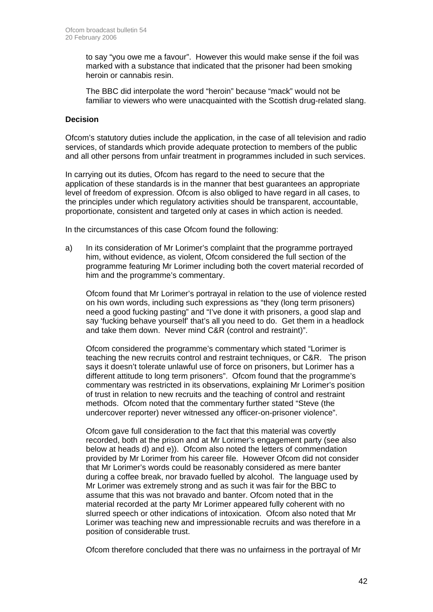to say "you owe me a favour". However this would make sense if the foil was marked with a substance that indicated that the prisoner had been smoking heroin or cannabis resin.

 The BBC did interpolate the word "heroin" because "mack" would not be familiar to viewers who were unacquainted with the Scottish drug-related slang.

### **Decision**

Ofcom's statutory duties include the application, in the case of all television and radio services, of standards which provide adequate protection to members of the public and all other persons from unfair treatment in programmes included in such services.

In carrying out its duties, Ofcom has regard to the need to secure that the application of these standards is in the manner that best guarantees an appropriate level of freedom of expression. Ofcom is also obliged to have regard in all cases, to the principles under which regulatory activities should be transparent, accountable, proportionate, consistent and targeted only at cases in which action is needed.

In the circumstances of this case Ofcom found the following:

a) In its consideration of Mr Lorimer's complaint that the programme portrayed him, without evidence, as violent, Ofcom considered the full section of the programme featuring Mr Lorimer including both the covert material recorded of him and the programme's commentary.

Ofcom found that Mr Lorimer's portrayal in relation to the use of violence rested on his own words, including such expressions as "they (long term prisoners) need a good fucking pasting" and "I've done it with prisoners, a good slap and say 'fucking behave yourself' that's all you need to do. Get them in a headlock and take them down. Never mind C&R (control and restraint)".

Ofcom considered the programme's commentary which stated "Lorimer is teaching the new recruits control and restraint techniques, or C&R. The prison says it doesn't tolerate unlawful use of force on prisoners, but Lorimer has a different attitude to long term prisoners". Ofcom found that the programme's commentary was restricted in its observations, explaining Mr Lorimer's position of trust in relation to new recruits and the teaching of control and restraint methods. Ofcom noted that the commentary further stated "Steve (the undercover reporter) never witnessed any officer-on-prisoner violence".

 Ofcom gave full consideration to the fact that this material was covertly recorded, both at the prison and at Mr Lorimer's engagement party (see also below at heads d) and e)). Ofcom also noted the letters of commendation provided by Mr Lorimer from his career file. However Ofcom did not consider that Mr Lorimer's words could be reasonably considered as mere banter during a coffee break, nor bravado fuelled by alcohol. The language used by Mr Lorimer was extremely strong and as such it was fair for the BBC to assume that this was not bravado and banter. Ofcom noted that in the material recorded at the party Mr Lorimer appeared fully coherent with no slurred speech or other indications of intoxication. Ofcom also noted that Mr Lorimer was teaching new and impressionable recruits and was therefore in a position of considerable trust.

Ofcom therefore concluded that there was no unfairness in the portrayal of Mr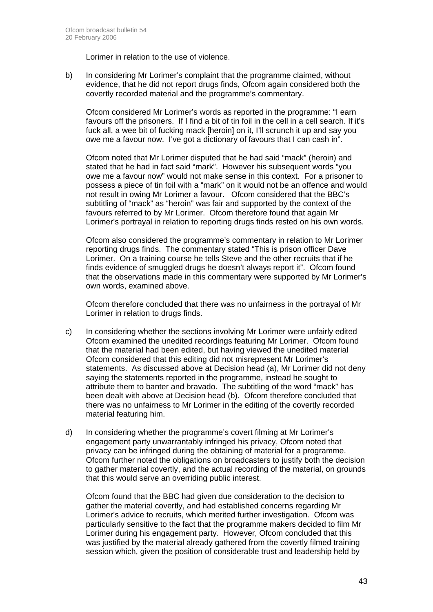Lorimer in relation to the use of violence.

b) In considering Mr Lorimer's complaint that the programme claimed, without evidence, that he did not report drugs finds, Ofcom again considered both the covertly recorded material and the programme's commentary.

Ofcom considered Mr Lorimer's words as reported in the programme: "I earn favours off the prisoners. If I find a bit of tin foil in the cell in a cell search. If it's fuck all, a wee bit of fucking mack [heroin] on it, I'll scrunch it up and say you owe me a favour now. I've got a dictionary of favours that I can cash in".

Ofcom noted that Mr Lorimer disputed that he had said "mack" (heroin) and stated that he had in fact said "mark". However his subsequent words "you owe me a favour now" would not make sense in this context. For a prisoner to possess a piece of tin foil with a "mark" on it would not be an offence and would not result in owing Mr Lorimer a favour. Ofcom considered that the BBC's subtitling of "mack" as "heroin" was fair and supported by the context of the favours referred to by Mr Lorimer. Ofcom therefore found that again Mr Lorimer's portrayal in relation to reporting drugs finds rested on his own words.

Ofcom also considered the programme's commentary in relation to Mr Lorimer reporting drugs finds. The commentary stated "This is prison officer Dave Lorimer. On a training course he tells Steve and the other recruits that if he finds evidence of smuggled drugs he doesn't always report it". Ofcom found that the observations made in this commentary were supported by Mr Lorimer's own words, examined above.

Ofcom therefore concluded that there was no unfairness in the portrayal of Mr Lorimer in relation to drugs finds.

- c) In considering whether the sections involving Mr Lorimer were unfairly edited Ofcom examined the unedited recordings featuring Mr Lorimer. Ofcom found that the material had been edited, but having viewed the unedited material Ofcom considered that this editing did not misrepresent Mr Lorimer's statements. As discussed above at Decision head (a), Mr Lorimer did not deny saying the statements reported in the programme, instead he sought to attribute them to banter and bravado. The subtitling of the word "mack" has been dealt with above at Decision head (b). Ofcom therefore concluded that there was no unfairness to Mr Lorimer in the editing of the covertly recorded material featuring him.
- d) In considering whether the programme's covert filming at Mr Lorimer's engagement party unwarrantably infringed his privacy, Ofcom noted that privacy can be infringed during the obtaining of material for a programme. Ofcom further noted the obligations on broadcasters to justify both the decision to gather material covertly, and the actual recording of the material, on grounds that this would serve an overriding public interest.

Ofcom found that the BBC had given due consideration to the decision to gather the material covertly, and had established concerns regarding Mr Lorimer's advice to recruits, which merited further investigation. Ofcom was particularly sensitive to the fact that the programme makers decided to film Mr Lorimer during his engagement party. However, Ofcom concluded that this was justified by the material already gathered from the covertly filmed training session which, given the position of considerable trust and leadership held by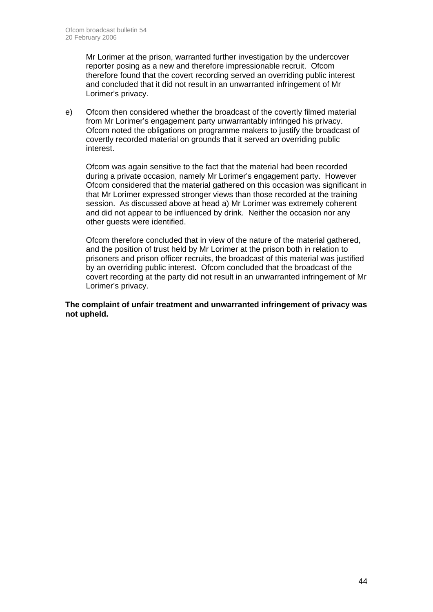Mr Lorimer at the prison, warranted further investigation by the undercover reporter posing as a new and therefore impressionable recruit. Ofcom therefore found that the covert recording served an overriding public interest and concluded that it did not result in an unwarranted infringement of Mr Lorimer's privacy.

e) Ofcom then considered whether the broadcast of the covertly filmed material from Mr Lorimer's engagement party unwarrantably infringed his privacy. Ofcom noted the obligations on programme makers to justify the broadcast of covertly recorded material on grounds that it served an overriding public interest.

Ofcom was again sensitive to the fact that the material had been recorded during a private occasion, namely Mr Lorimer's engagement party. However Ofcom considered that the material gathered on this occasion was significant in that Mr Lorimer expressed stronger views than those recorded at the training session. As discussed above at head a) Mr Lorimer was extremely coherent and did not appear to be influenced by drink. Neither the occasion nor any other guests were identified.

Ofcom therefore concluded that in view of the nature of the material gathered, and the position of trust held by Mr Lorimer at the prison both in relation to prisoners and prison officer recruits, the broadcast of this material was justified by an overriding public interest. Ofcom concluded that the broadcast of the covert recording at the party did not result in an unwarranted infringement of Mr Lorimer's privacy.

### **The complaint of unfair treatment and unwarranted infringement of privacy was not upheld.**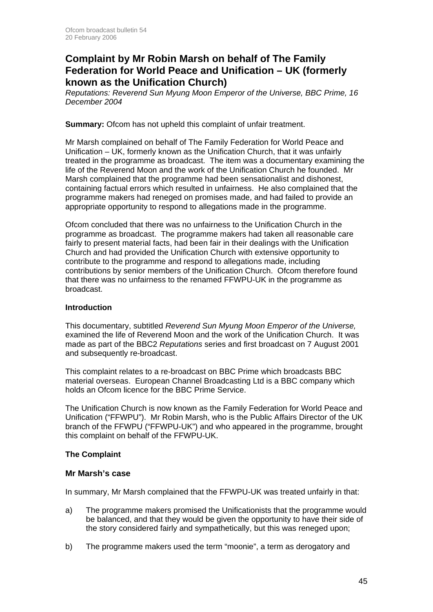## **Complaint by Mr Robin Marsh on behalf of The Family Federation for World Peace and Unification – UK (formerly known as the Unification Church)**

*Reputations: Reverend Sun Myung Moon Emperor of the Universe, BBC Prime, 16 December 2004* 

**Summary:** Ofcom has not upheld this complaint of unfair treatment.

Mr Marsh complained on behalf of The Family Federation for World Peace and Unification – UK, formerly known as the Unification Church, that it was unfairly treated in the programme as broadcast. The item was a documentary examining the life of the Reverend Moon and the work of the Unification Church he founded. Mr Marsh complained that the programme had been sensationalist and dishonest, containing factual errors which resulted in unfairness. He also complained that the programme makers had reneged on promises made, and had failed to provide an appropriate opportunity to respond to allegations made in the programme.

Ofcom concluded that there was no unfairness to the Unification Church in the programme as broadcast. The programme makers had taken all reasonable care fairly to present material facts, had been fair in their dealings with the Unification Church and had provided the Unification Church with extensive opportunity to contribute to the programme and respond to allegations made, including contributions by senior members of the Unification Church. Ofcom therefore found that there was no unfairness to the renamed FFWPU-UK in the programme as broadcast.

### **Introduction**

This documentary, subtitled *Reverend Sun Myung Moon Emperor of the Universe,* examined the life of Reverend Moon and the work of the Unification Church. It was made as part of the BBC2 *Reputations* series and first broadcast on 7 August 2001 and subsequently re-broadcast.

This complaint relates to a re-broadcast on BBC Prime which broadcasts BBC material overseas. European Channel Broadcasting Ltd is a BBC company which holds an Ofcom licence for the BBC Prime Service.

The Unification Church is now known as the Family Federation for World Peace and Unification ("FFWPU"). Mr Robin Marsh, who is the Public Affairs Director of the UK branch of the FFWPU ("FFWPU-UK") and who appeared in the programme, brought this complaint on behalf of the FFWPU-UK.

### **The Complaint**

### **Mr Marsh's case**

In summary, Mr Marsh complained that the FFWPU-UK was treated unfairly in that:

- a) The programme makers promised the Unificationists that the programme would be balanced, and that they would be given the opportunity to have their side of the story considered fairly and sympathetically, but this was reneged upon;
- b) The programme makers used the term "moonie", a term as derogatory and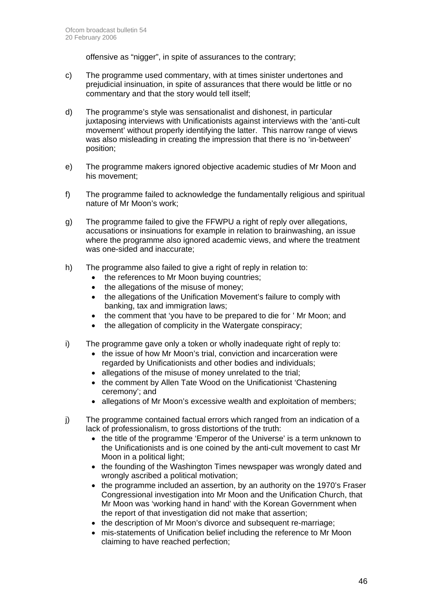offensive as "nigger", in spite of assurances to the contrary;

- c) The programme used commentary, with at times sinister undertones and prejudicial insinuation, in spite of assurances that there would be little or no commentary and that the story would tell itself;
- d) The programme's style was sensationalist and dishonest, in particular juxtaposing interviews with Unificationists against interviews with the 'anti-cult movement' without properly identifying the latter. This narrow range of views was also misleading in creating the impression that there is no 'in-between' position;
- e) The programme makers ignored objective academic studies of Mr Moon and his movement;
- f) The programme failed to acknowledge the fundamentally religious and spiritual nature of Mr Moon's work;
- g) The programme failed to give the FFWPU a right of reply over allegations, accusations or insinuations for example in relation to brainwashing, an issue where the programme also ignored academic views, and where the treatment was one-sided and inaccurate;
- h) The programme also failed to give a right of reply in relation to:
	- the references to Mr Moon buying countries;
	- the allegations of the misuse of money;
	- the allegations of the Unification Movement's failure to comply with banking, tax and immigration laws;
	- the comment that 'you have to be prepared to die for ' Mr Moon; and
	- the allegation of complicity in the Watergate conspiracy;
- i) The programme gave only a token or wholly inadequate right of reply to:
	- the issue of how Mr Moon's trial, conviction and incarceration were regarded by Unificationists and other bodies and individuals;
	- allegations of the misuse of money unrelated to the trial;
	- the comment by Allen Tate Wood on the Unificationist 'Chastening ceremony'; and
	- allegations of Mr Moon's excessive wealth and exploitation of members;
- j) The programme contained factual errors which ranged from an indication of a lack of professionalism, to gross distortions of the truth:
	- the title of the programme 'Emperor of the Universe' is a term unknown to the Unificationists and is one coined by the anti-cult movement to cast Mr Moon in a political light;
	- the founding of the Washington Times newspaper was wrongly dated and wrongly ascribed a political motivation;
	- the programme included an assertion, by an authority on the 1970's Fraser Congressional investigation into Mr Moon and the Unification Church, that Mr Moon was 'working hand in hand' with the Korean Government when the report of that investigation did not make that assertion;
	- the description of Mr Moon's divorce and subsequent re-marriage:
	- mis-statements of Unification belief including the reference to Mr Moon claiming to have reached perfection;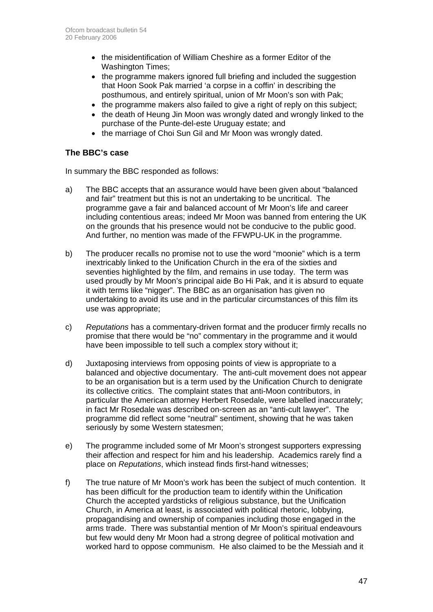- the misidentification of William Cheshire as a former Editor of the Washington Times;
- the programme makers ignored full briefing and included the suggestion that Hoon Sook Pak married 'a corpse in a coffin' in describing the posthumous, and entirely spiritual, union of Mr Moon's son with Pak;
- the programme makers also failed to give a right of reply on this subject;
- the death of Heung Jin Moon was wrongly dated and wrongly linked to the purchase of the Punte-del-este Uruguay estate; and
- the marriage of Choi Sun Gil and Mr Moon was wrongly dated.

### **The BBC's case**

In summary the BBC responded as follows:

- a) The BBC accepts that an assurance would have been given about "balanced and fair" treatment but this is not an undertaking to be uncritical. The programme gave a fair and balanced account of Mr Moon's life and career including contentious areas; indeed Mr Moon was banned from entering the UK on the grounds that his presence would not be conducive to the public good. And further, no mention was made of the FFWPU-UK in the programme.
- b) The producer recalls no promise not to use the word "moonie" which is a term inextricably linked to the Unification Church in the era of the sixties and seventies highlighted by the film, and remains in use today. The term was used proudly by Mr Moon's principal aide Bo Hi Pak, and it is absurd to equate it with terms like "nigger". The BBC as an organisation has given no undertaking to avoid its use and in the particular circumstances of this film its use was appropriate;
- c) *Reputations* has a commentary-driven format and the producer firmly recalls no promise that there would be "no" commentary in the programme and it would have been impossible to tell such a complex story without it;
- d) Juxtaposing interviews from opposing points of view is appropriate to a balanced and objective documentary. The anti-cult movement does not appear to be an organisation but is a term used by the Unification Church to denigrate its collective critics. The complaint states that anti-Moon contributors, in particular the American attorney Herbert Rosedale, were labelled inaccurately; in fact Mr Rosedale was described on-screen as an "anti-cult lawyer". The programme did reflect some "neutral" sentiment, showing that he was taken seriously by some Western statesmen;
- e) The programme included some of Mr Moon's strongest supporters expressing their affection and respect for him and his leadership. Academics rarely find a place on *Reputations*, which instead finds first-hand witnesses;
- f) The true nature of Mr Moon's work has been the subject of much contention. It has been difficult for the production team to identify within the Unification Church the accepted yardsticks of religious substance, but the Unification Church, in America at least, is associated with political rhetoric, lobbying, propagandising and ownership of companies including those engaged in the arms trade. There was substantial mention of Mr Moon's spiritual endeavours but few would deny Mr Moon had a strong degree of political motivation and worked hard to oppose communism. He also claimed to be the Messiah and it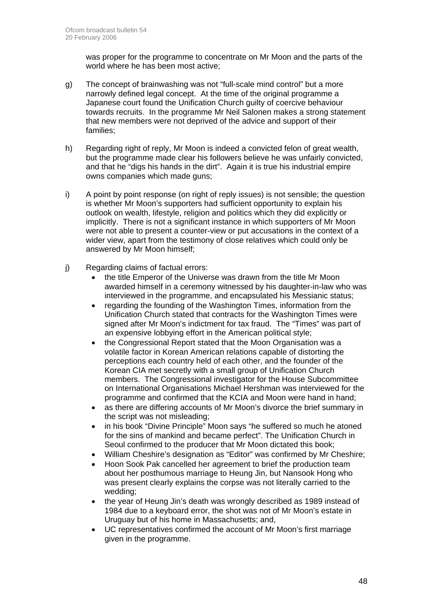was proper for the programme to concentrate on Mr Moon and the parts of the world where he has been most active;

- g) The concept of brainwashing was not "full-scale mind control" but a more narrowly defined legal concept. At the time of the original programme a Japanese court found the Unification Church guilty of coercive behaviour towards recruits. In the programme Mr Neil Salonen makes a strong statement that new members were not deprived of the advice and support of their families;
- h) Regarding right of reply, Mr Moon is indeed a convicted felon of great wealth, but the programme made clear his followers believe he was unfairly convicted, and that he "digs his hands in the dirt". Again it is true his industrial empire owns companies which made guns;
- i) A point by point response (on right of reply issues) is not sensible; the question is whether Mr Moon's supporters had sufficient opportunity to explain his outlook on wealth, lifestyle, religion and politics which they did explicitly or implicitly. There is not a significant instance in which supporters of Mr Moon were not able to present a counter-view or put accusations in the context of a wider view, apart from the testimony of close relatives which could only be answered by Mr Moon himself;
- j) Regarding claims of factual errors:
	- the title Emperor of the Universe was drawn from the title Mr Moon awarded himself in a ceremony witnessed by his daughter-in-law who was interviewed in the programme, and encapsulated his Messianic status;
	- regarding the founding of the Washington Times, information from the Unification Church stated that contracts for the Washington Times were signed after Mr Moon's indictment for tax fraud. The "Times" was part of an expensive lobbying effort in the American political style;
	- the Congressional Report stated that the Moon Organisation was a volatile factor in Korean American relations capable of distorting the perceptions each country held of each other, and the founder of the Korean CIA met secretly with a small group of Unification Church members. The Congressional investigator for the House Subcommittee on International Organisations Michael Hershman was interviewed for the programme and confirmed that the KCIA and Moon were hand in hand;
	- as there are differing accounts of Mr Moon's divorce the brief summary in the script was not misleading;
	- in his book "Divine Principle" Moon says "he suffered so much he atoned for the sins of mankind and became perfect". The Unification Church in Seoul confirmed to the producer that Mr Moon dictated this book;
	- William Cheshire's designation as "Editor" was confirmed by Mr Cheshire;
	- Hoon Sook Pak cancelled her agreement to brief the production team about her posthumous marriage to Heung Jin, but Nansook Hong who was present clearly explains the corpse was not literally carried to the wedding;
	- the year of Heung Jin's death was wrongly described as 1989 instead of 1984 due to a keyboard error, the shot was not of Mr Moon's estate in Uruguay but of his home in Massachusetts; and,
	- UC representatives confirmed the account of Mr Moon's first marriage given in the programme.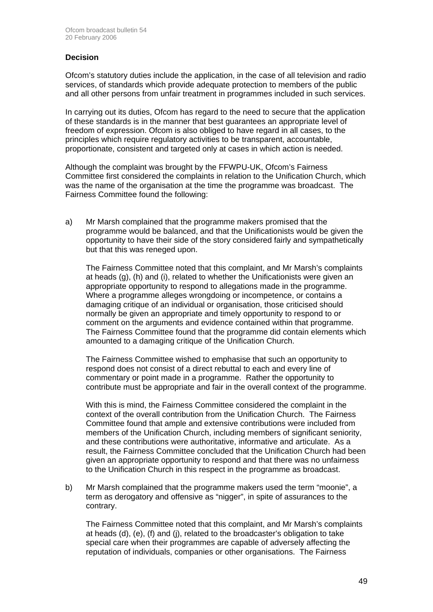### **Decision**

Ofcom's statutory duties include the application, in the case of all television and radio services, of standards which provide adequate protection to members of the public and all other persons from unfair treatment in programmes included in such services.

In carrying out its duties, Ofcom has regard to the need to secure that the application of these standards is in the manner that best guarantees an appropriate level of freedom of expression. Ofcom is also obliged to have regard in all cases, to the principles which require regulatory activities to be transparent, accountable, proportionate, consistent and targeted only at cases in which action is needed.

Although the complaint was brought by the FFWPU-UK, Ofcom's Fairness Committee first considered the complaints in relation to the Unification Church, which was the name of the organisation at the time the programme was broadcast. The Fairness Committee found the following:

a) Mr Marsh complained that the programme makers promised that the programme would be balanced, and that the Unificationists would be given the opportunity to have their side of the story considered fairly and sympathetically but that this was reneged upon.

The Fairness Committee noted that this complaint, and Mr Marsh's complaints at heads (g), (h) and (i), related to whether the Unificationists were given an appropriate opportunity to respond to allegations made in the programme. Where a programme alleges wrongdoing or incompetence, or contains a damaging critique of an individual or organisation, those criticised should normally be given an appropriate and timely opportunity to respond to or comment on the arguments and evidence contained within that programme. The Fairness Committee found that the programme did contain elements which amounted to a damaging critique of the Unification Church.

 The Fairness Committee wished to emphasise that such an opportunity to respond does not consist of a direct rebuttal to each and every line of commentary or point made in a programme. Rather the opportunity to contribute must be appropriate and fair in the overall context of the programme.

With this is mind, the Fairness Committee considered the complaint in the context of the overall contribution from the Unification Church. The Fairness Committee found that ample and extensive contributions were included from members of the Unification Church, including members of significant seniority, and these contributions were authoritative, informative and articulate. As a result, the Fairness Committee concluded that the Unification Church had been given an appropriate opportunity to respond and that there was no unfairness to the Unification Church in this respect in the programme as broadcast.

b) Mr Marsh complained that the programme makers used the term "moonie", a term as derogatory and offensive as "nigger", in spite of assurances to the contrary.

 The Fairness Committee noted that this complaint, and Mr Marsh's complaints at heads (d), (e), (f) and (j), related to the broadcaster's obligation to take special care when their programmes are capable of adversely affecting the reputation of individuals, companies or other organisations. The Fairness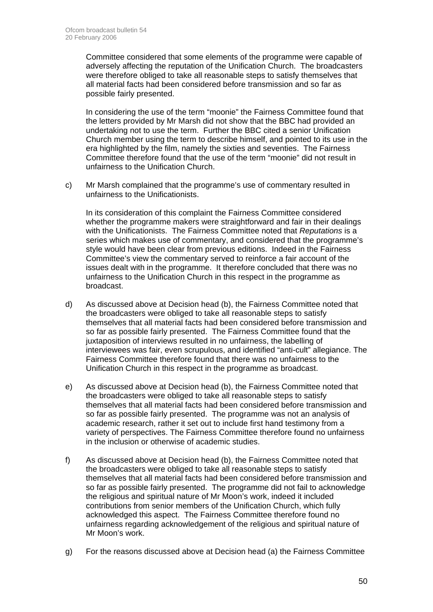Committee considered that some elements of the programme were capable of adversely affecting the reputation of the Unification Church. The broadcasters were therefore obliged to take all reasonable steps to satisfy themselves that all material facts had been considered before transmission and so far as possible fairly presented.

In considering the use of the term "moonie" the Fairness Committee found that the letters provided by Mr Marsh did not show that the BBC had provided an undertaking not to use the term. Further the BBC cited a senior Unification Church member using the term to describe himself, and pointed to its use in the era highlighted by the film, namely the sixties and seventies. The Fairness Committee therefore found that the use of the term "moonie" did not result in unfairness to the Unification Church.

c) Mr Marsh complained that the programme's use of commentary resulted in unfairness to the Unificationists.

In its consideration of this complaint the Fairness Committee considered whether the programme makers were straightforward and fair in their dealings with the Unificationists. The Fairness Committee noted that *Reputations* is a series which makes use of commentary, and considered that the programme's style would have been clear from previous editions. Indeed in the Fairness Committee's view the commentary served to reinforce a fair account of the issues dealt with in the programme. It therefore concluded that there was no unfairness to the Unification Church in this respect in the programme as broadcast.

- d) As discussed above at Decision head (b), the Fairness Committee noted that the broadcasters were obliged to take all reasonable steps to satisfy themselves that all material facts had been considered before transmission and so far as possible fairly presented. The Fairness Committee found that the juxtaposition of interviews resulted in no unfairness, the labelling of interviewees was fair, even scrupulous, and identified "anti-cult" allegiance. The Fairness Committee therefore found that there was no unfairness to the Unification Church in this respect in the programme as broadcast.
- e) As discussed above at Decision head (b), the Fairness Committee noted that the broadcasters were obliged to take all reasonable steps to satisfy themselves that all material facts had been considered before transmission and so far as possible fairly presented. The programme was not an analysis of academic research, rather it set out to include first hand testimony from a variety of perspectives. The Fairness Committee therefore found no unfairness in the inclusion or otherwise of academic studies.
- f) As discussed above at Decision head (b), the Fairness Committee noted that the broadcasters were obliged to take all reasonable steps to satisfy themselves that all material facts had been considered before transmission and so far as possible fairly presented. The programme did not fail to acknowledge the religious and spiritual nature of Mr Moon's work, indeed it included contributions from senior members of the Unification Church, which fully acknowledged this aspect. The Fairness Committee therefore found no unfairness regarding acknowledgement of the religious and spiritual nature of Mr Moon's work.
- g) For the reasons discussed above at Decision head (a) the Fairness Committee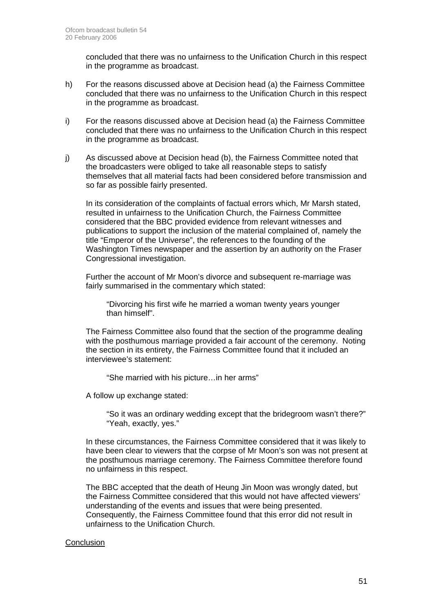concluded that there was no unfairness to the Unification Church in this respect in the programme as broadcast.

- h) For the reasons discussed above at Decision head (a) the Fairness Committee concluded that there was no unfairness to the Unification Church in this respect in the programme as broadcast.
- i) For the reasons discussed above at Decision head (a) the Fairness Committee concluded that there was no unfairness to the Unification Church in this respect in the programme as broadcast.
- j) As discussed above at Decision head (b), the Fairness Committee noted that the broadcasters were obliged to take all reasonable steps to satisfy themselves that all material facts had been considered before transmission and so far as possible fairly presented.

In its consideration of the complaints of factual errors which, Mr Marsh stated, resulted in unfairness to the Unification Church, the Fairness Committee considered that the BBC provided evidence from relevant witnesses and publications to support the inclusion of the material complained of, namely the title "Emperor of the Universe", the references to the founding of the Washington Times newspaper and the assertion by an authority on the Fraser Congressional investigation.

Further the account of Mr Moon's divorce and subsequent re-marriage was fairly summarised in the commentary which stated:

"Divorcing his first wife he married a woman twenty years younger than himself".

The Fairness Committee also found that the section of the programme dealing with the posthumous marriage provided a fair account of the ceremony. Noting the section in its entirety, the Fairness Committee found that it included an interviewee's statement:

"She married with his picture…in her arms"

A follow up exchange stated:

"So it was an ordinary wedding except that the bridegroom wasn't there?" "Yeah, exactly, yes."

In these circumstances, the Fairness Committee considered that it was likely to have been clear to viewers that the corpse of Mr Moon's son was not present at the posthumous marriage ceremony. The Fairness Committee therefore found no unfairness in this respect.

The BBC accepted that the death of Heung Jin Moon was wrongly dated, but the Fairness Committee considered that this would not have affected viewers' understanding of the events and issues that were being presented. Consequently, the Fairness Committee found that this error did not result in unfairness to the Unification Church.

### **Conclusion**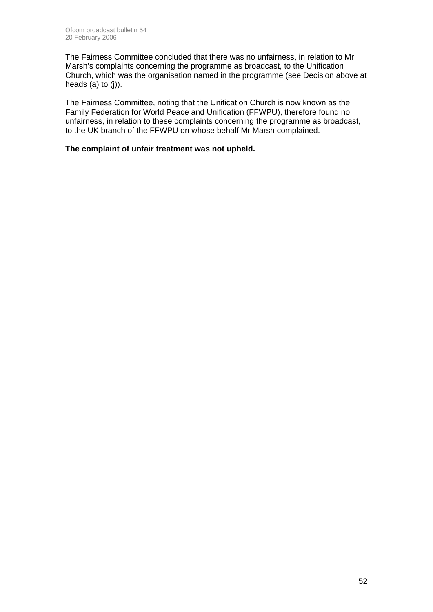The Fairness Committee concluded that there was no unfairness, in relation to Mr Marsh's complaints concerning the programme as broadcast, to the Unification Church, which was the organisation named in the programme (see Decision above at heads  $(a)$  to  $(i)$ ).

The Fairness Committee, noting that the Unification Church is now known as the Family Federation for World Peace and Unification (FFWPU), therefore found no unfairness, in relation to these complaints concerning the programme as broadcast, to the UK branch of the FFWPU on whose behalf Mr Marsh complained.

### **The complaint of unfair treatment was not upheld.**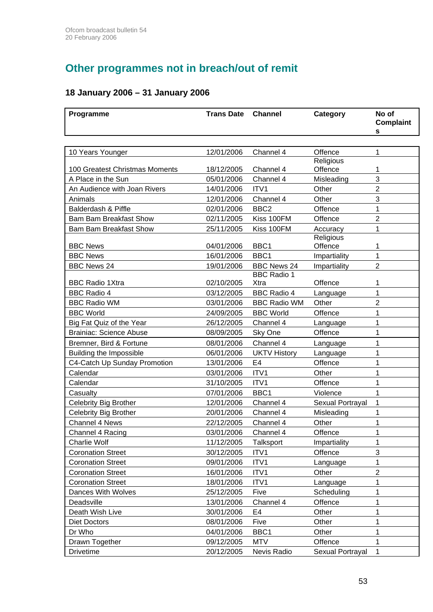# **Other programmes not in breach/out of remit**

## **18 January 2006 – 31 January 2006**

| Programme                      | <b>Trans Date</b> | <b>Channel</b>      | Category              | No of<br>Complaint<br>s |
|--------------------------------|-------------------|---------------------|-----------------------|-------------------------|
|                                |                   |                     |                       |                         |
| 10 Years Younger               | 12/01/2006        | Channel 4           | Offence               | 1                       |
|                                |                   |                     | Religious             |                         |
| 100 Greatest Christmas Moments | 18/12/2005        | Channel 4           | Offence               | 1                       |
| A Place in the Sun             | 05/01/2006        | Channel 4           | Misleading            | 3                       |
| An Audience with Joan Rivers   | 14/01/2006        | ITV1                | Other                 | 2                       |
| Animals                        | 12/01/2006        | Channel 4           | Other                 | 3                       |
| Balderdash & Piffle            | 02/01/2006        | BBC <sub>2</sub>    | Offence               | 1<br>$\overline{2}$     |
| <b>Bam Bam Breakfast Show</b>  | 02/11/2005        | Kiss 100FM          | Offence               |                         |
| <b>Bam Bam Breakfast Show</b>  | 25/11/2005        | Kiss 100FM          | Accuracy<br>Religious | 1                       |
| <b>BBC News</b>                | 04/01/2006        | BBC1                | Offence               | 1                       |
| <b>BBC News</b>                | 16/01/2006        | BBC1                | Impartiality          | 1                       |
| <b>BBC News 24</b>             | 19/01/2006        | <b>BBC News 24</b>  | Impartiality          | $\overline{2}$          |
|                                |                   | <b>BBC Radio 1</b>  |                       |                         |
| <b>BBC Radio 1Xtra</b>         | 02/10/2005        | Xtra                | Offence               | 1                       |
| <b>BBC Radio 4</b>             | 03/12/2005        | <b>BBC Radio 4</b>  | Language              | 1                       |
| <b>BBC Radio WM</b>            | 03/01/2006        | <b>BBC Radio WM</b> | Other                 | $\overline{2}$          |
| <b>BBC World</b>               | 24/09/2005        | <b>BBC World</b>    | Offence               | 1                       |
| Big Fat Quiz of the Year       | 26/12/2005        | Channel 4           | Language              | 1                       |
| <b>Brainiac: Science Abuse</b> | 08/09/2005        | Sky One             | Offence               | 1                       |
| Bremner, Bird & Fortune        | 08/01/2006        | Channel 4           | Language              | 1                       |
| Building the Impossible        | 06/01/2006        | <b>UKTV History</b> | Language              | 1                       |
| C4-Catch Up Sunday Promotion   | 13/01/2006        | E <sub>4</sub>      | Offence               | 1                       |
| Calendar                       | 03/01/2006        | ITV1                | Other                 | 1                       |
| Calendar                       | 31/10/2005        | ITV1                | Offence               | 1                       |
| Casualty                       | 07/01/2006        | BBC1                | Violence              | 1                       |
| Celebrity Big Brother          | 12/01/2006        | Channel 4           | Sexual Portrayal      | 1                       |
| <b>Celebrity Big Brother</b>   | 20/01/2006        | Channel 4           | Misleading            | 1                       |
| Channel 4 News                 | 22/12/2005        | Channel 4           | Other                 | 1                       |
| Channel 4 Racing               | 03/01/2006        | Channel 4           | Offence               | 1                       |
| <b>Charlie Wolf</b>            | 11/12/2005        | Talksport           | Impartiality          | 1                       |
| <b>Coronation Street</b>       | 30/12/2005        | ITV1                | Offence               | 3                       |
| <b>Coronation Street</b>       | 09/01/2006        | ITV1                | Language              | 1                       |
| <b>Coronation Street</b>       | 16/01/2006        | ITV1                | Other                 | $\overline{2}$          |
| <b>Coronation Street</b>       | 18/01/2006        | ITV1                | Language              | 1                       |
| Dances With Wolves             | 25/12/2005        | Five                | Scheduling            | 1                       |
| Deadsville                     | 13/01/2006        | Channel 4           | Offence               | 1                       |
| Death Wish Live                | 30/01/2006        | E4                  | Other                 | 1                       |
| <b>Diet Doctors</b>            | 08/01/2006        | Five                | Other                 | 1                       |
| Dr Who                         | 04/01/2006        | BBC1                | Other                 | 1                       |
| Drawn Together                 | 09/12/2005        | <b>MTV</b>          | Offence               | 1                       |
| <b>Drivetime</b>               | 20/12/2005        | Nevis Radio         | Sexual Portrayal      | $\mathbf{1}$            |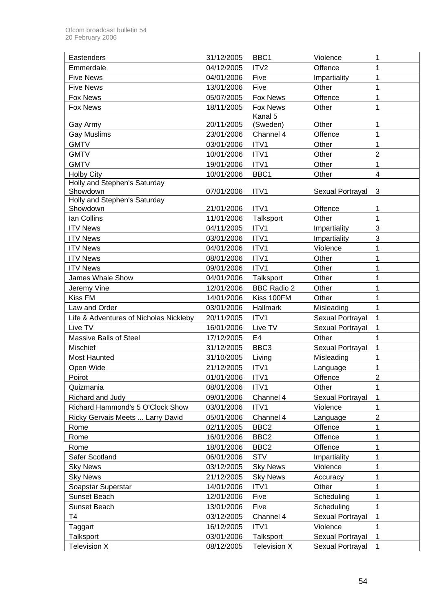| Eastenders                                        | 31/12/2005 | BBC <sub>1</sub>         | Violence         | 1              |
|---------------------------------------------------|------------|--------------------------|------------------|----------------|
|                                                   |            |                          |                  |                |
| Emmerdale<br><b>Five News</b>                     | 04/12/2005 | ITV <sub>2</sub><br>Five | Offence          | 1<br>1         |
|                                                   | 04/01/2006 |                          | Impartiality     |                |
| <b>Five News</b>                                  | 13/01/2006 | Five                     | Other            | 1              |
| <b>Fox News</b>                                   | 05/07/2005 | <b>Fox News</b>          | Offence          | $\mathbf{1}$   |
| <b>Fox News</b>                                   | 18/11/2005 | Fox News<br>Kanal 5      | Other            | $\mathbf{1}$   |
| Gay Army                                          | 20/11/2005 | (Sweden)                 | Other            | 1              |
| <b>Gay Muslims</b>                                | 23/01/2006 | Channel 4                | Offence          | 1              |
| <b>GMTV</b>                                       | 03/01/2006 | ITV1                     | Other            | 1              |
| <b>GMTV</b>                                       | 10/01/2006 | ITV1                     | Other            | $\overline{2}$ |
| <b>GMTV</b>                                       | 19/01/2006 | ITV1                     | Other            | $\mathbf 1$    |
|                                                   |            | BBC1                     | Other            | $\overline{4}$ |
| <b>Holby City</b><br>Holly and Stephen's Saturday | 10/01/2006 |                          |                  |                |
| Showdown                                          | 07/01/2006 | ITV1                     | Sexual Portrayal | 3              |
| Holly and Stephen's Saturday                      |            |                          |                  |                |
| Showdown                                          | 21/01/2006 | ITV1                     | Offence          | 1              |
| Ian Collins                                       | 11/01/2006 | Talksport                | Other            | 1              |
| <b>ITV News</b>                                   | 04/11/2005 | ITV1                     | Impartiality     | 3              |
| <b>ITV News</b>                                   | 03/01/2006 | ITV1                     | Impartiality     | 3              |
| <b>ITV News</b>                                   | 04/01/2006 | ITV1                     | Violence         | 1              |
| <b>ITV News</b>                                   | 08/01/2006 | ITV1                     | Other            | 1              |
| <b>ITV News</b>                                   | 09/01/2006 | ITV1                     | Other            | $\mathbf{1}$   |
| <b>James Whale Show</b>                           | 04/01/2006 | Talksport                | Other            | 1              |
| Jeremy Vine                                       | 12/01/2006 | <b>BBC Radio 2</b>       | Other            | 1              |
| <b>Kiss FM</b>                                    | 14/01/2006 | Kiss 100FM               | Other            | 1              |
| Law and Order                                     | 03/01/2006 | <b>Hallmark</b>          | Misleading       | $\mathbf{1}$   |
| Life & Adventures of Nicholas Nickleby            | 20/11/2005 | ITV1                     | Sexual Portrayal | 1              |
| Live TV                                           | 16/01/2006 | Live TV                  | Sexual Portrayal | $\mathbf{1}$   |
| Massive Balls of Steel                            | 17/12/2005 | E <sub>4</sub>           | Other            | $\mathbf{1}$   |
| Mischief                                          | 31/12/2005 | BBC <sub>3</sub>         | Sexual Portrayal | 1              |
|                                                   |            |                          |                  | 1              |
| <b>Most Haunted</b>                               | 31/10/2005 | Living                   | Misleading       |                |
| Open Wide                                         | 21/12/2005 | ITV1                     | Language         | 1              |
| Poirot                                            | 01/01/2006 | ITV1                     | Offence          | $\overline{c}$ |
| Quizmania                                         | 08/01/2006 | ITV1                     | Other            | 1              |
| Richard and Judy                                  | 09/01/2006 | Channel 4                | Sexual Portrayal | 1              |
| Richard Hammond's 5 O'Clock Show                  | 03/01/2006 | ITV1                     | Violence         | 1              |
| Ricky Gervais Meets  Larry David                  | 05/01/2006 | Channel 4                | Language         | $\overline{2}$ |
| Rome                                              | 02/11/2005 | BBC <sub>2</sub>         | Offence          | 1              |
| Rome                                              | 16/01/2006 | BBC <sub>2</sub>         | Offence          | 1              |
| Rome                                              | 18/01/2006 | BBC <sub>2</sub>         | Offence          | 1              |
| Safer Scotland                                    | 06/01/2006 | <b>STV</b>               | Impartiality     | 1              |
| <b>Sky News</b>                                   | 03/12/2005 | <b>Sky News</b>          | Violence         | 1              |
| <b>Sky News</b>                                   | 21/12/2005 | <b>Sky News</b>          | Accuracy         | 1              |
| Soapstar Superstar                                | 14/01/2006 | ITV1                     | Other            | 1              |
| Sunset Beach                                      | 12/01/2006 | Five                     | Scheduling       | 1              |
| Sunset Beach                                      | 13/01/2006 | Five                     | Scheduling       | $\mathbf{1}$   |
| T <sub>4</sub>                                    | 03/12/2005 | Channel 4                | Sexual Portrayal | $\mathbf{1}$   |
| Taggart                                           | 16/12/2005 | ITV1                     | Violence         | 1              |
| Talksport                                         | 03/01/2006 | Talksport                | Sexual Portrayal | $\mathbf{1}$   |
| <b>Television X</b>                               | 08/12/2005 | Television X             | Sexual Portrayal | $\mathbf 1$    |